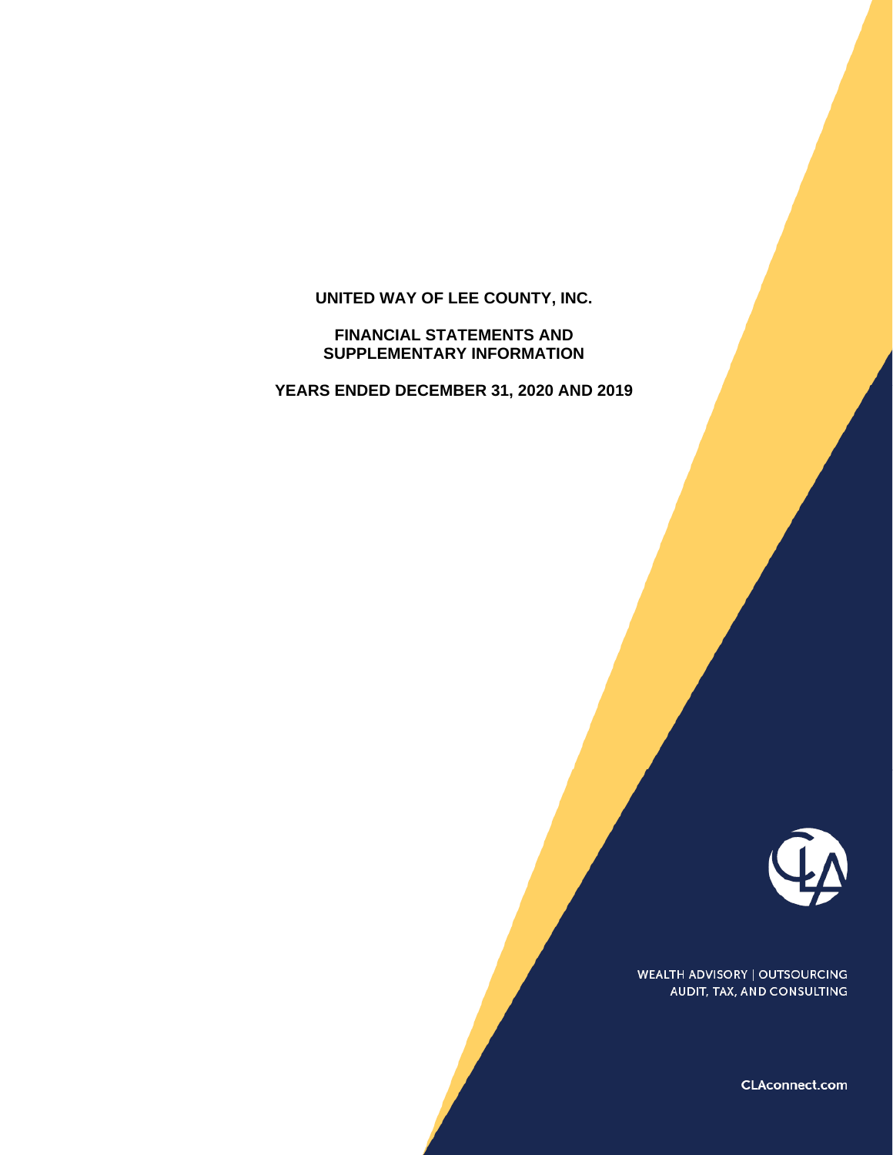# **UNITED WAY OF LEE COUNTY, INC.**

#### **FINANCIAL STATEMENTS AND SUPPLEMENTARY INFORMATION**

**YEARS ENDED DECEMBER 31, 2020 AND 2019** 



**WEALTH ADVISORY | OUTSOURCING** AUDIT, TAX, AND CONSULTING

CLAconnect.com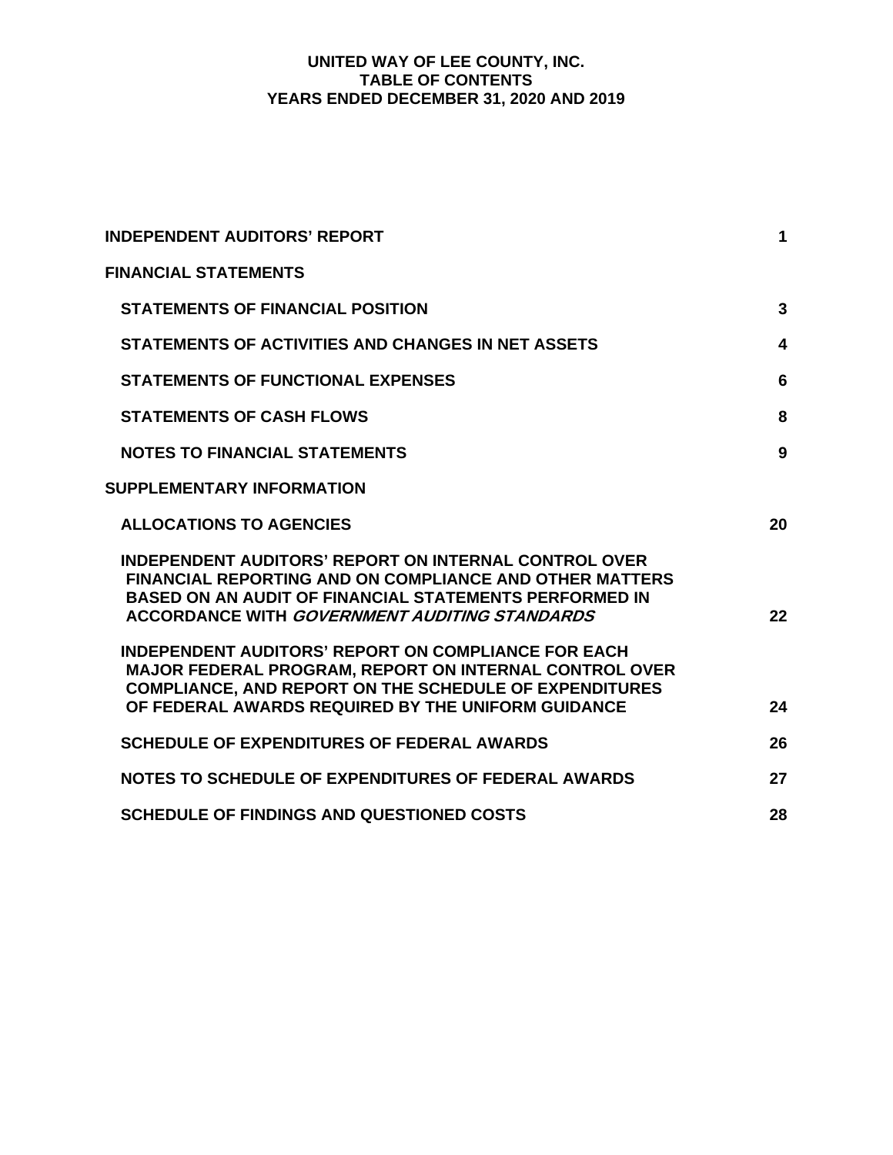## **UNITED WAY OF LEE COUNTY, INC. TABLE OF CONTENTS YEARS ENDED DECEMBER 31, 2020 AND 2019**

| <b>INDEPENDENT AUDITORS' REPORT</b>                                                                                                                                                                                                                     | 1            |
|---------------------------------------------------------------------------------------------------------------------------------------------------------------------------------------------------------------------------------------------------------|--------------|
| <b>FINANCIAL STATEMENTS</b>                                                                                                                                                                                                                             |              |
| <b>STATEMENTS OF FINANCIAL POSITION</b>                                                                                                                                                                                                                 | $\mathbf{3}$ |
| STATEMENTS OF ACTIVITIES AND CHANGES IN NET ASSETS                                                                                                                                                                                                      | 4            |
| <b>STATEMENTS OF FUNCTIONAL EXPENSES</b>                                                                                                                                                                                                                | 6            |
| <b>STATEMENTS OF CASH FLOWS</b>                                                                                                                                                                                                                         | 8            |
| <b>NOTES TO FINANCIAL STATEMENTS</b>                                                                                                                                                                                                                    | 9            |
| <b>SUPPLEMENTARY INFORMATION</b>                                                                                                                                                                                                                        |              |
| <b>ALLOCATIONS TO AGENCIES</b>                                                                                                                                                                                                                          | 20           |
| <b>INDEPENDENT AUDITORS' REPORT ON INTERNAL CONTROL OVER</b><br><b>FINANCIAL REPORTING AND ON COMPLIANCE AND OTHER MATTERS</b><br><b>BASED ON AN AUDIT OF FINANCIAL STATEMENTS PERFORMED IN</b><br><b>ACCORDANCE WITH GOVERNMENT AUDITING STANDARDS</b> | 22           |
| <b>INDEPENDENT AUDITORS' REPORT ON COMPLIANCE FOR EACH</b><br>MAJOR FEDERAL PROGRAM, REPORT ON INTERNAL CONTROL OVER<br><b>COMPLIANCE, AND REPORT ON THE SCHEDULE OF EXPENDITURES</b><br>OF FEDERAL AWARDS REQUIRED BY THE UNIFORM GUIDANCE             | 24           |
| <b>SCHEDULE OF EXPENDITURES OF FEDERAL AWARDS</b>                                                                                                                                                                                                       | 26           |
| NOTES TO SCHEDULE OF EXPENDITURES OF FEDERAL AWARDS                                                                                                                                                                                                     | 27           |
| <b>SCHEDULE OF FINDINGS AND QUESTIONED COSTS</b>                                                                                                                                                                                                        | 28           |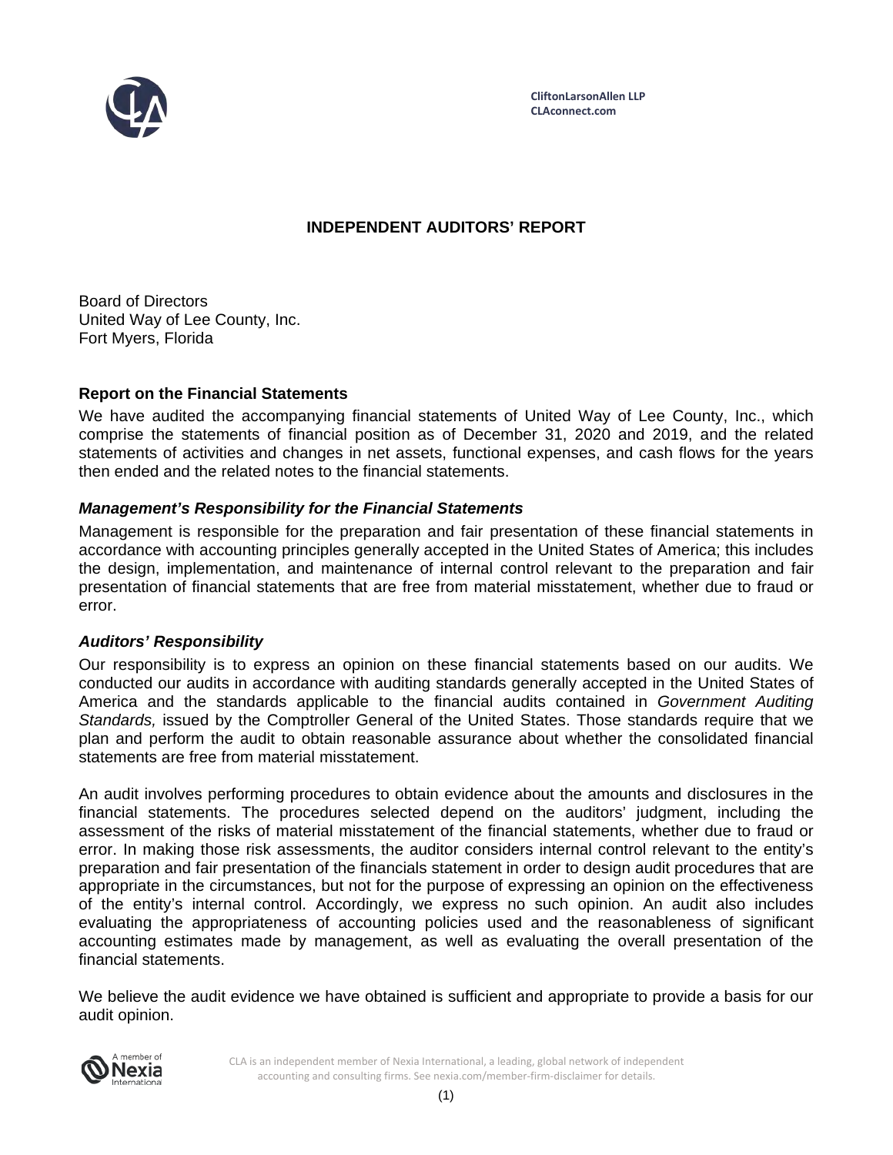

**CliftonLarsonAllen LLP CLAconnect.com**

# **INDEPENDENT AUDITORS' REPORT**

Board of Directors United Way of Lee County, Inc. Fort Myers, Florida

### **Report on the Financial Statements**

We have audited the accompanying financial statements of United Way of Lee County, Inc., which comprise the statements of financial position as of December 31, 2020 and 2019, and the related statements of activities and changes in net assets, functional expenses, and cash flows for the years then ended and the related notes to the financial statements.

## *Management's Responsibility for the Financial Statements*

Management is responsible for the preparation and fair presentation of these financial statements in accordance with accounting principles generally accepted in the United States of America; this includes the design, implementation, and maintenance of internal control relevant to the preparation and fair presentation of financial statements that are free from material misstatement, whether due to fraud or error.

### *Auditors' Responsibility*

Our responsibility is to express an opinion on these financial statements based on our audits. We conducted our audits in accordance with auditing standards generally accepted in the United States of America and the standards applicable to the financial audits contained in *Government Auditing Standards,* issued by the Comptroller General of the United States. Those standards require that we plan and perform the audit to obtain reasonable assurance about whether the consolidated financial statements are free from material misstatement.

An audit involves performing procedures to obtain evidence about the amounts and disclosures in the financial statements. The procedures selected depend on the auditors' judgment, including the assessment of the risks of material misstatement of the financial statements, whether due to fraud or error. In making those risk assessments, the auditor considers internal control relevant to the entity's preparation and fair presentation of the financials statement in order to design audit procedures that are appropriate in the circumstances, but not for the purpose of expressing an opinion on the effectiveness of the entity's internal control. Accordingly, we express no such opinion. An audit also includes evaluating the appropriateness of accounting policies used and the reasonableness of significant accounting estimates made by management, as well as evaluating the overall presentation of the financial statements.

We believe the audit evidence we have obtained is sufficient and appropriate to provide a basis for our audit opinion.



CLA is an independent member of Nexia International, a leading, global network of independent accounting and consulting firms. See nexia.com/member-firm-disclaimer for details.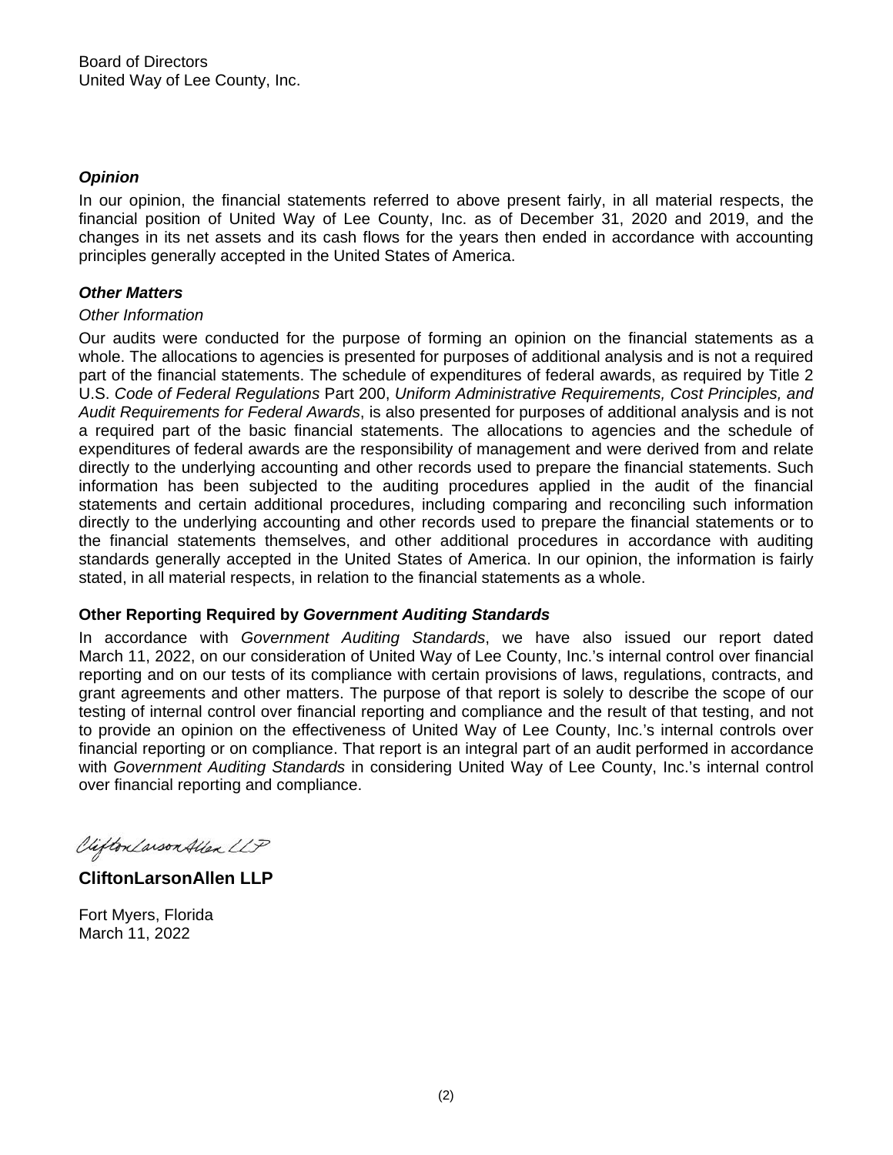## *Opinion*

In our opinion, the financial statements referred to above present fairly, in all material respects, the financial position of United Way of Lee County, Inc. as of December 31, 2020 and 2019, and the changes in its net assets and its cash flows for the years then ended in accordance with accounting principles generally accepted in the United States of America.

# *Other Matters*

## *Other Information*

Our audits were conducted for the purpose of forming an opinion on the financial statements as a whole. The allocations to agencies is presented for purposes of additional analysis and is not a required part of the financial statements. The schedule of expenditures of federal awards, as required by Title 2 U.S. *Code of Federal Regulations* Part 200, *Uniform Administrative Requirements, Cost Principles, and Audit Requirements for Federal Awards*, is also presented for purposes of additional analysis and is not a required part of the basic financial statements. The allocations to agencies and the schedule of expenditures of federal awards are the responsibility of management and were derived from and relate directly to the underlying accounting and other records used to prepare the financial statements. Such information has been subjected to the auditing procedures applied in the audit of the financial statements and certain additional procedures, including comparing and reconciling such information directly to the underlying accounting and other records used to prepare the financial statements or to the financial statements themselves, and other additional procedures in accordance with auditing standards generally accepted in the United States of America. In our opinion, the information is fairly stated, in all material respects, in relation to the financial statements as a whole.

## **Other Reporting Required by** *Government Auditing Standards*

In accordance with *Government Auditing Standards*, we have also issued our report dated March 11, 2022, on our consideration of United Way of Lee County, Inc.'s internal control over financial reporting and on our tests of its compliance with certain provisions of laws, regulations, contracts, and grant agreements and other matters. The purpose of that report is solely to describe the scope of our testing of internal control over financial reporting and compliance and the result of that testing, and not to provide an opinion on the effectiveness of United Way of Lee County, Inc.'s internal controls over financial reporting or on compliance. That report is an integral part of an audit performed in accordance with *Government Auditing Standards* in considering United Way of Lee County, Inc.'s internal control over financial reporting and compliance.

Clifton Larson Allen LLP

# **CliftonLarsonAllen LLP**

Fort Myers, Florida March 11, 2022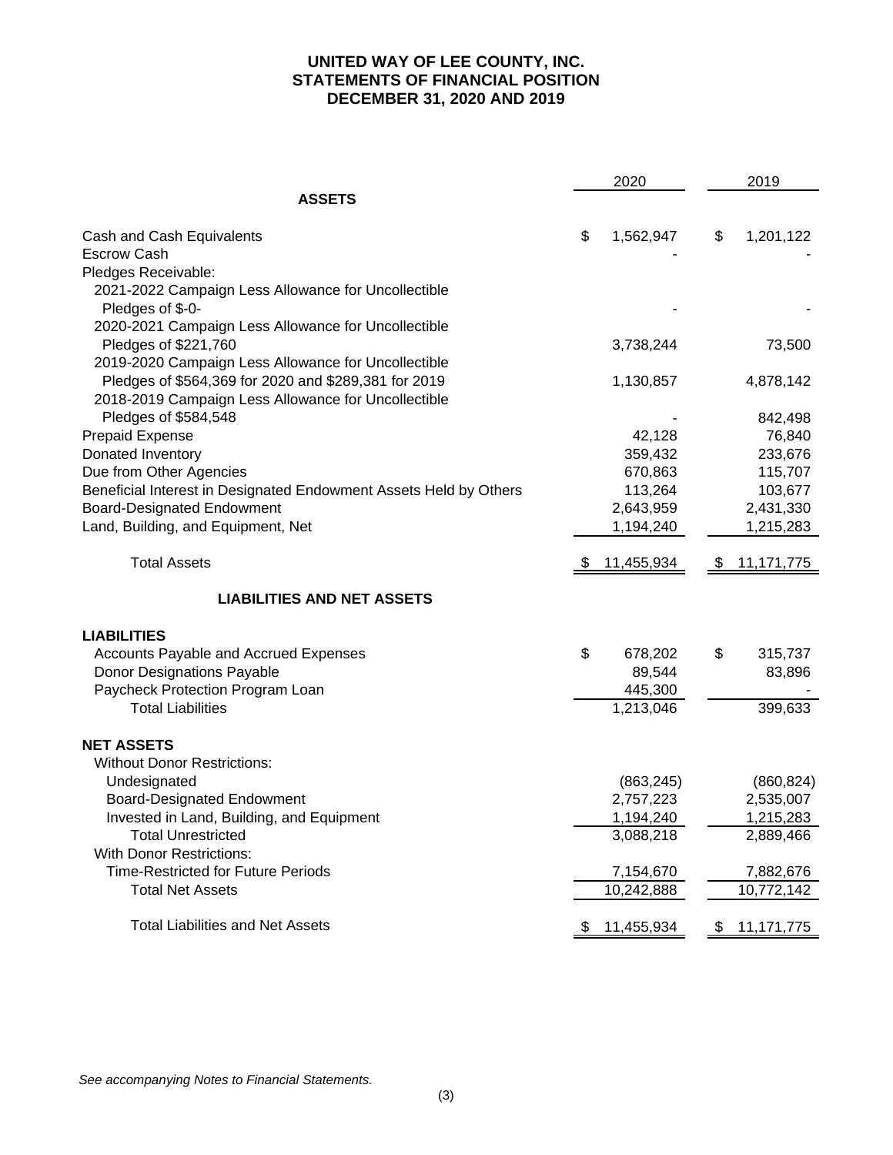### **UNITED WAY OF LEE COUNTY, INC. STATEMENTS OF FINANCIAL POSITION DECEMBER 31, 2020 AND 2019**

|                                                                             |    | 2020       | 2019 |            |
|-----------------------------------------------------------------------------|----|------------|------|------------|
| <b>ASSETS</b>                                                               |    |            |      |            |
| Cash and Cash Equivalents                                                   | \$ | 1,562,947  | \$   | 1,201,122  |
| <b>Escrow Cash</b>                                                          |    |            |      |            |
| Pledges Receivable:                                                         |    |            |      |            |
| 2021-2022 Campaign Less Allowance for Uncollectible                         |    |            |      |            |
| Pledges of \$-0-                                                            |    |            |      |            |
| 2020-2021 Campaign Less Allowance for Uncollectible<br>Pledges of \$221,760 |    | 3,738,244  |      | 73,500     |
| 2019-2020 Campaign Less Allowance for Uncollectible                         |    |            |      |            |
| Pledges of \$564,369 for 2020 and \$289,381 for 2019                        |    | 1,130,857  |      | 4,878,142  |
| 2018-2019 Campaign Less Allowance for Uncollectible                         |    |            |      |            |
| Pledges of \$584,548                                                        |    |            |      | 842,498    |
| <b>Prepaid Expense</b>                                                      |    | 42,128     |      | 76,840     |
| Donated Inventory                                                           |    | 359,432    |      | 233,676    |
| Due from Other Agencies                                                     |    | 670,863    |      | 115,707    |
| Beneficial Interest in Designated Endowment Assets Held by Others           |    | 113,264    |      | 103,677    |
| <b>Board-Designated Endowment</b>                                           |    | 2,643,959  |      | 2,431,330  |
| Land, Building, and Equipment, Net                                          |    | 1,194,240  |      | 1,215,283  |
| <b>Total Assets</b>                                                         |    | 11,455,934 | S.   | 11,171,775 |
| <b>LIABILITIES AND NET ASSETS</b>                                           |    |            |      |            |
| <b>LIABILITIES</b>                                                          |    |            |      |            |
| Accounts Payable and Accrued Expenses                                       | \$ | 678,202    | \$   | 315,737    |
| Donor Designations Payable                                                  |    | 89,544     |      | 83,896     |
| Paycheck Protection Program Loan                                            |    | 445,300    |      |            |
| <b>Total Liabilities</b>                                                    |    | 1,213,046  |      | 399,633    |
| <b>NET ASSETS</b>                                                           |    |            |      |            |
| <b>Without Donor Restrictions:</b>                                          |    |            |      |            |
| Undesignated                                                                |    | (863, 245) |      | (860, 824) |
| <b>Board-Designated Endowment</b>                                           |    | 2,757,223  |      | 2,535,007  |
| Invested in Land, Building, and Equipment                                   |    | 1,194,240  |      | 1,215,283  |
| <b>Total Unrestricted</b>                                                   |    | 3,088,218  |      | 2,889,466  |
| <b>With Donor Restrictions:</b>                                             |    |            |      |            |
| <b>Time-Restricted for Future Periods</b>                                   |    | 7,154,670  |      | 7,882,676  |
| <b>Total Net Assets</b>                                                     |    | 10,242,888 |      | 10,772,142 |
| <b>Total Liabilities and Net Assets</b>                                     |    | 11,455,934 | \$   | 11,171,775 |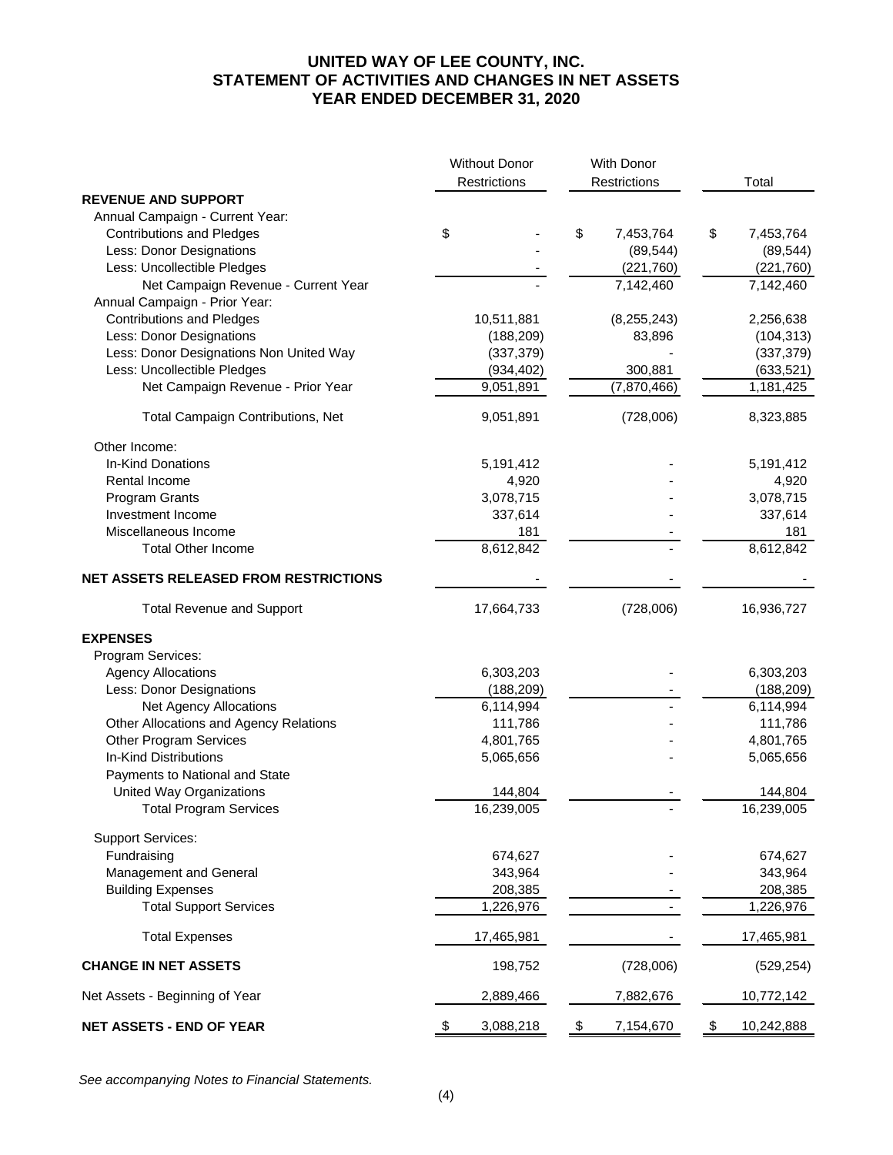## **UNITED WAY OF LEE COUNTY, INC. STATEMENT OF ACTIVITIES AND CHANGES IN NET ASSETS YEAR ENDED DECEMBER 31, 2020**

|                                              | <b>Without Donor</b> |              | <b>With Donor</b>  |       |                        |
|----------------------------------------------|----------------------|--------------|--------------------|-------|------------------------|
|                                              |                      | Restrictions | Restrictions       | Total |                        |
| <b>REVENUE AND SUPPORT</b>                   |                      |              |                    |       |                        |
| Annual Campaign - Current Year:              |                      |              |                    |       |                        |
| <b>Contributions and Pledges</b>             | \$                   |              | \$<br>7,453,764    | \$    | 7,453,764              |
| Less: Donor Designations                     |                      |              | (89, 544)          |       | (89, 544)              |
| Less: Uncollectible Pledges                  |                      |              | (221, 760)         |       | (221, 760)             |
| Net Campaign Revenue - Current Year          |                      |              | 7,142,460          |       | 7,142,460              |
| Annual Campaign - Prior Year:                |                      |              |                    |       |                        |
| <b>Contributions and Pledges</b>             |                      | 10,511,881   | (8, 255, 243)      |       | 2,256,638              |
| Less: Donor Designations                     |                      | (188, 209)   | 83,896             |       | (104, 313)             |
| Less: Donor Designations Non United Way      |                      | (337, 379)   |                    |       | (337, 379)             |
| Less: Uncollectible Pledges                  |                      | (934, 402)   | 300,881            |       | (633, 521)             |
| Net Campaign Revenue - Prior Year            |                      | 9,051,891    | $\sqrt{7},870,466$ |       | 1,181,425              |
| Total Campaign Contributions, Net            |                      | 9,051,891    | (728,006)          |       | 8,323,885              |
| Other Income:                                |                      |              |                    |       |                        |
| In-Kind Donations                            |                      | 5,191,412    |                    |       | 5,191,412              |
| <b>Rental Income</b>                         |                      | 4,920        |                    |       | 4,920                  |
| Program Grants                               |                      | 3,078,715    |                    |       | 3,078,715              |
| Investment Income                            |                      | 337,614      |                    |       | 337,614                |
| Miscellaneous Income                         |                      | 181          |                    |       | 181                    |
| <b>Total Other Income</b>                    |                      | 8,612,842    |                    |       | 8,612,842              |
| <b>NET ASSETS RELEASED FROM RESTRICTIONS</b> |                      |              |                    |       |                        |
| <b>Total Revenue and Support</b>             |                      | 17,664,733   | (728,006)          |       | 16,936,727             |
| <b>EXPENSES</b>                              |                      |              |                    |       |                        |
| Program Services:                            |                      |              |                    |       |                        |
| <b>Agency Allocations</b>                    |                      | 6,303,203    |                    |       | 6,303,203              |
| Less: Donor Designations                     |                      | (188, 209)   |                    |       | (188, 209)             |
| Net Agency Allocations                       |                      | 6,114,994    |                    |       | 6,114,994              |
| Other Allocations and Agency Relations       |                      | 111,786      |                    |       | 111,786                |
| <b>Other Program Services</b>                |                      | 4,801,765    |                    |       | 4,801,765              |
| In-Kind Distributions                        |                      | 5,065,656    |                    |       | 5,065,656              |
| Payments to National and State               |                      |              |                    |       |                        |
| United Way Organizations                     |                      | 144,804      |                    |       | 144,804                |
| <b>Total Program Services</b>                |                      | 16,239,005   |                    |       | 16,239,005             |
| <b>Support Services:</b>                     |                      |              |                    |       |                        |
| Fundraising                                  |                      | 674,627      |                    |       | 674,627                |
| Management and General                       |                      | 343,964      |                    |       | 343,964                |
| <b>Building Expenses</b>                     |                      | 208,385      |                    |       | 208,385                |
| <b>Total Support Services</b>                |                      | 1,226,976    |                    |       | $\overline{1,}226,976$ |
| <b>Total Expenses</b>                        |                      | 17,465,981   |                    |       | 17,465,981             |
| <b>CHANGE IN NET ASSETS</b>                  |                      | 198,752      | (728,006)          |       | (529, 254)             |
| Net Assets - Beginning of Year               |                      | 2,889,466    | 7,882,676          |       | 10,772,142             |
| <b>NET ASSETS - END OF YEAR</b>              | \$                   | 3,088,218    | \$<br>7,154,670    | \$    | 10,242,888             |

*See accompanying Notes to Financial Statements.*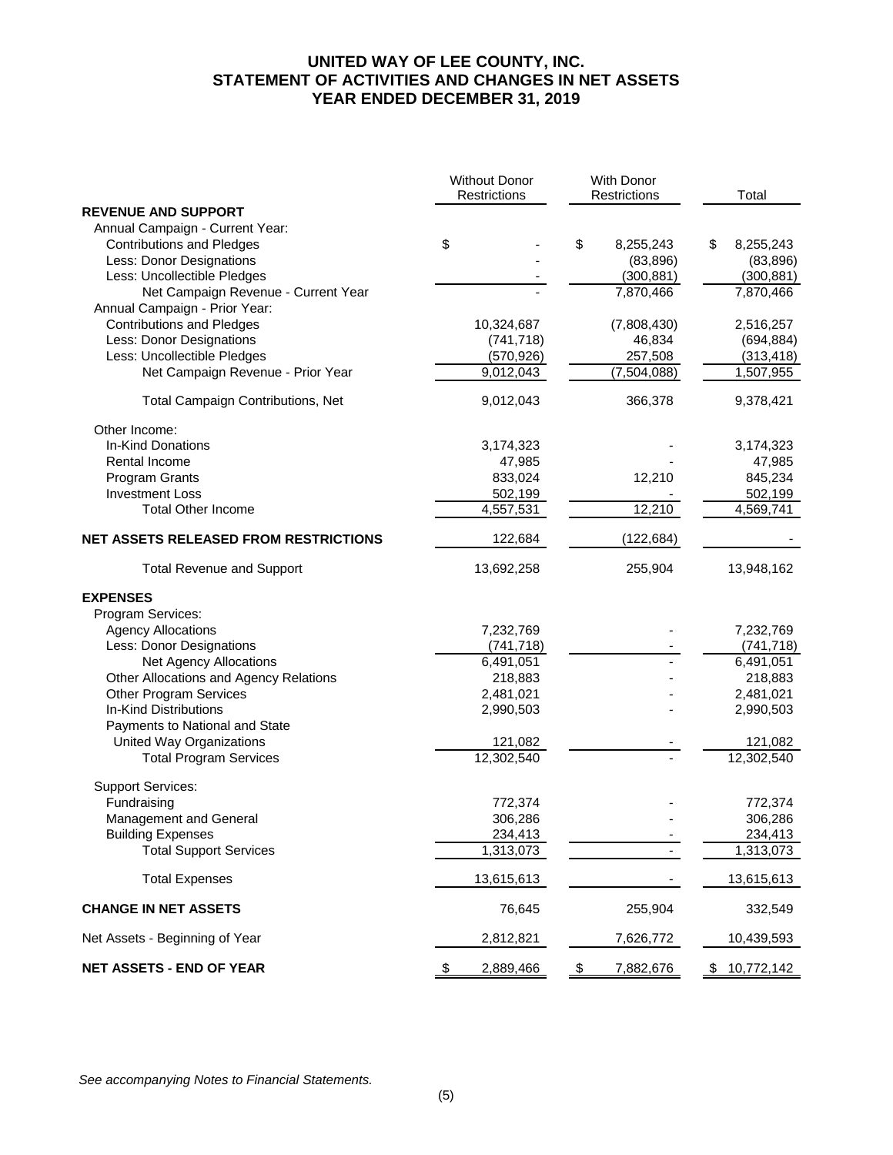## **UNITED WAY OF LEE COUNTY, INC. STATEMENT OF ACTIVITIES AND CHANGES IN NET ASSETS YEAR ENDED DECEMBER 31, 2019**

|                                              | <b>Without Donor</b><br>Restrictions |            | With Donor<br><b>Restrictions</b> |             |    | Total      |
|----------------------------------------------|--------------------------------------|------------|-----------------------------------|-------------|----|------------|
| <b>REVENUE AND SUPPORT</b>                   |                                      |            |                                   |             |    |            |
| Annual Campaign - Current Year:              |                                      |            |                                   |             |    |            |
| <b>Contributions and Pledges</b>             | \$                                   |            | \$                                | 8,255,243   | \$ | 8,255,243  |
| Less: Donor Designations                     |                                      |            |                                   | (83, 896)   |    | (83, 896)  |
| Less: Uncollectible Pledges                  |                                      |            |                                   | (300, 881)  |    | (300, 881) |
| Net Campaign Revenue - Current Year          |                                      |            |                                   | 7,870,466   |    | 7,870,466  |
| Annual Campaign - Prior Year:                |                                      |            |                                   |             |    |            |
| <b>Contributions and Pledges</b>             |                                      | 10,324,687 |                                   | (7,808,430) |    | 2,516,257  |
| Less: Donor Designations                     |                                      | (741, 718) |                                   | 46,834      |    | (694, 884) |
| Less: Uncollectible Pledges                  |                                      | (570, 926) |                                   | 257,508     |    | (313, 418) |
| Net Campaign Revenue - Prior Year            |                                      | 9,012,043  |                                   | (7,504,088) |    | 1,507,955  |
| Total Campaign Contributions, Net            |                                      | 9,012,043  |                                   | 366,378     |    | 9,378,421  |
| Other Income:                                |                                      |            |                                   |             |    |            |
| In-Kind Donations                            |                                      | 3,174,323  |                                   |             |    | 3,174,323  |
| Rental Income                                |                                      | 47,985     |                                   |             |    | 47,985     |
| Program Grants                               |                                      | 833,024    |                                   | 12,210      |    | 845,234    |
| <b>Investment Loss</b>                       |                                      | 502,199    |                                   |             |    | 502,199    |
| <b>Total Other Income</b>                    |                                      | 4,557,531  |                                   | 12,210      |    | 4,569,741  |
| <b>NET ASSETS RELEASED FROM RESTRICTIONS</b> |                                      | 122,684    |                                   | (122, 684)  |    |            |
| <b>Total Revenue and Support</b>             |                                      | 13,692,258 |                                   | 255,904     |    | 13,948,162 |
| <b>EXPENSES</b>                              |                                      |            |                                   |             |    |            |
| Program Services:                            |                                      |            |                                   |             |    |            |
| <b>Agency Allocations</b>                    |                                      | 7,232,769  |                                   |             |    | 7,232,769  |
| Less: Donor Designations                     |                                      | (741, 718) |                                   |             |    | (741, 718) |
| Net Agency Allocations                       |                                      | 6,491,051  |                                   |             |    | 6,491,051  |
| Other Allocations and Agency Relations       |                                      | 218,883    |                                   |             |    | 218,883    |
| <b>Other Program Services</b>                |                                      | 2,481,021  |                                   |             |    | 2,481,021  |
| In-Kind Distributions                        |                                      | 2,990,503  |                                   |             |    | 2,990,503  |
| Payments to National and State               |                                      |            |                                   |             |    |            |
| United Way Organizations                     |                                      | 121,082    |                                   |             |    | 121,082    |
| <b>Total Program Services</b>                |                                      | 12,302,540 |                                   |             |    | 12,302,540 |
| <b>Support Services:</b>                     |                                      |            |                                   |             |    |            |
| Fundraising                                  |                                      | 772,374    |                                   |             |    | 772,374    |
| Management and General                       |                                      | 306,286    |                                   |             |    | 306,286    |
| <b>Building Expenses</b>                     |                                      | 234,413    |                                   |             |    | 234,413    |
| <b>Total Support Services</b>                |                                      | 1,313,073  |                                   |             |    | 1,313,073  |
| <b>Total Expenses</b>                        |                                      | 13,615,613 |                                   |             |    | 13,615,613 |
| <b>CHANGE IN NET ASSETS</b>                  |                                      | 76,645     |                                   | 255,904     |    | 332,549    |
| Net Assets - Beginning of Year               |                                      | 2,812,821  |                                   | 7,626,772   |    | 10,439,593 |
| <b>NET ASSETS - END OF YEAR</b>              | \$                                   | 2,889,466  | $\frac{1}{2}$                     | 7,882,676   | \$ | 10,772,142 |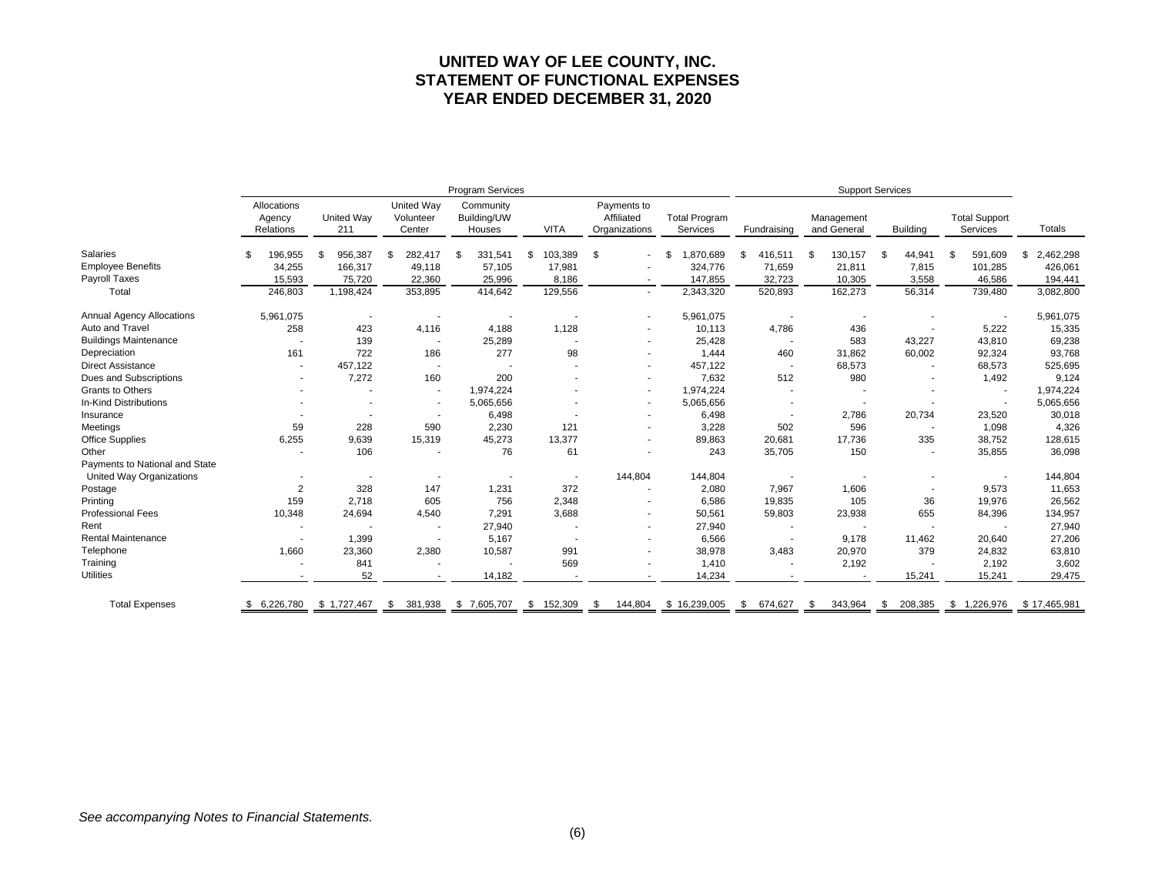### **UNITED WAY OF LEE COUNTY, INC. STATEMENT OF FUNCTIONAL EXPENSES YEAR ENDED DECEMBER 31, 2020**

|                                  | <b>Program Services</b>            |                   |                                   |                                    |               | <b>Support Services</b>                    |                                  |               |                           |                 |                                  |                |
|----------------------------------|------------------------------------|-------------------|-----------------------------------|------------------------------------|---------------|--------------------------------------------|----------------------------------|---------------|---------------------------|-----------------|----------------------------------|----------------|
|                                  | Allocations<br>Agency<br>Relations | United Way<br>211 | United Way<br>Volunteer<br>Center | Community<br>Building/UW<br>Houses | <b>VITA</b>   | Payments to<br>Affiliated<br>Organizations | <b>Total Program</b><br>Services | Fundraising   | Management<br>and General | <b>Building</b> | <b>Total Support</b><br>Services | Totals         |
| Salaries                         | 196,955                            | \$<br>956,387     | \$<br>282,417                     | 331,541<br>\$                      | 103,389<br>\$ | \$                                         | ,870,689                         | \$<br>416,511 | 130,157<br>\$             | 44,941<br>-S    | 591,609<br>S                     | 2,462,298<br>S |
| <b>Employee Benefits</b>         | 34,255                             | 166,317           | 49,118                            | 57,105                             | 17,981        | $\overline{\phantom{a}}$                   | 324.776                          | 71,659        | 21,811                    | 7,815           | 101,285                          | 426,061        |
| Payroll Taxes                    | 15,593                             | 75,720            | 22,360                            | 25,996                             | 8,186         | $\overline{\phantom{a}}$                   | 147,855                          | 32,723        | 10,305                    | 3,558           | 46,586                           | 194,441        |
| Total                            | 246,803                            | 1,198,424         | 353,895                           | 414,642                            | 129,556       | $\sim$                                     | 2,343,320                        | 520,893       | 162,273                   | 56,314          | 739,480                          | 3,082,800      |
| <b>Annual Agency Allocations</b> | 5,961,075                          |                   |                                   |                                    |               | $\overline{\phantom{a}}$                   | 5,961,075                        |               |                           |                 |                                  | 5,961,075      |
| Auto and Travel                  | 258                                | 423               | 4,116                             | 4,188                              | 1,128         |                                            | 10,113                           | 4,786         | 436                       |                 | 5,222                            | 15,335         |
| <b>Buildings Maintenance</b>     |                                    | 139               |                                   | 25,289                             |               |                                            | 25,428                           |               | 583                       | 43,227          | 43,810                           | 69,238         |
| Depreciation                     | 161                                | 722               | 186                               | 277                                | 98            |                                            | 1,444                            | 460           | 31,862                    | 60,002          | 92,324                           | 93,768         |
| <b>Direct Assistance</b>         |                                    | 457,122           | $\overline{\phantom{a}}$          |                                    |               | $\overline{\phantom{a}}$                   | 457,122                          | $\sim$        | 68,573                    |                 | 68,573                           | 525,695        |
| Dues and Subscriptions           |                                    | 7,272             | 160                               | 200                                |               | $\blacksquare$                             | 7,632                            | 512           | 980                       |                 | 1,492                            | 9,124          |
| Grants to Others                 |                                    |                   | $\overline{\phantom{a}}$          | 1,974,224                          |               | $\overline{\phantom{a}}$                   | 1,974,224                        |               |                           |                 |                                  | 1,974,224      |
| In-Kind Distributions            |                                    |                   |                                   | 5,065,656                          |               | $\overline{\phantom{a}}$                   | 5,065,656                        |               |                           |                 |                                  | 5,065,656      |
| Insurance                        |                                    |                   |                                   | 6,498                              |               |                                            | 6,498                            |               | 2,786                     | 20,734          | 23,520                           | 30,018         |
| Meetings                         | 59                                 | 228               | 590                               | 2,230                              | 121           |                                            | 3,228                            | 502           | 596                       |                 | 1,098                            | 4,326          |
| <b>Office Supplies</b>           | 6,255                              | 9,639             | 15,319                            | 45,273                             | 13,377        | $\overline{\phantom{a}}$                   | 89,863                           | 20,681        | 17,736                    | 335             | 38,752                           | 128,615        |
| Other                            |                                    | 106               |                                   | 76                                 | 61            |                                            | 243                              | 35,705        | 150                       |                 | 35,855                           | 36,098         |
| Payments to National and State   |                                    |                   |                                   |                                    |               |                                            |                                  |               |                           |                 |                                  |                |
| United Way Organizations         |                                    |                   |                                   |                                    |               | 144,804                                    | 144,804                          |               |                           |                 |                                  | 144,804        |
| Postage                          | $\overline{c}$                     | 328               | 147                               | 1,231                              | 372           | $\overline{\phantom{a}}$                   | 2,080                            | 7,967         | 1,606                     |                 | 9,573                            | 11,653         |
| Printing                         | 159                                | 2,718             | 605                               | 756                                | 2,348         |                                            | 6,586                            | 19,835        | 105                       | 36              | 19,976                           | 26,562         |
| <b>Professional Fees</b>         | 10,348                             | 24,694            | 4,540                             | 7,291                              | 3,688         |                                            | 50,561                           | 59,803        | 23,938                    | 655             | 84,396                           | 134,957        |
| Rent                             |                                    |                   |                                   | 27,940                             |               |                                            | 27,940                           |               |                           |                 |                                  | 27,940         |
| <b>Rental Maintenance</b>        |                                    | 1,399             |                                   | 5,167                              |               |                                            | 6,566                            |               | 9,178                     | 11,462          | 20,640                           | 27,206         |
| Telephone                        | 1,660                              | 23,360            | 2,380                             | 10,587                             | 991           | $\blacksquare$                             | 38,978                           | 3,483         | 20,970                    | 379             | 24,832                           | 63,810         |
| Training                         |                                    | 841               |                                   |                                    | 569           |                                            | 1,410                            |               | 2,192                     |                 | 2,192                            | 3,602          |
| <b>Utilities</b>                 |                                    | 52                |                                   | 14,182                             |               |                                            | 14.234                           |               |                           | 15,241          | 15,241                           | 29,475         |
| <b>Total Expenses</b>            | 6,226,780                          | \$1,727,467       | 381,938<br>\$                     | \$7,605,707                        | 152,309<br>\$ | 144,804<br>\$                              | \$16,239,005                     | 674,627<br>\$ | 343,964<br>\$             | 208,385<br>S    | \$1,226,976                      | \$17,465,981   |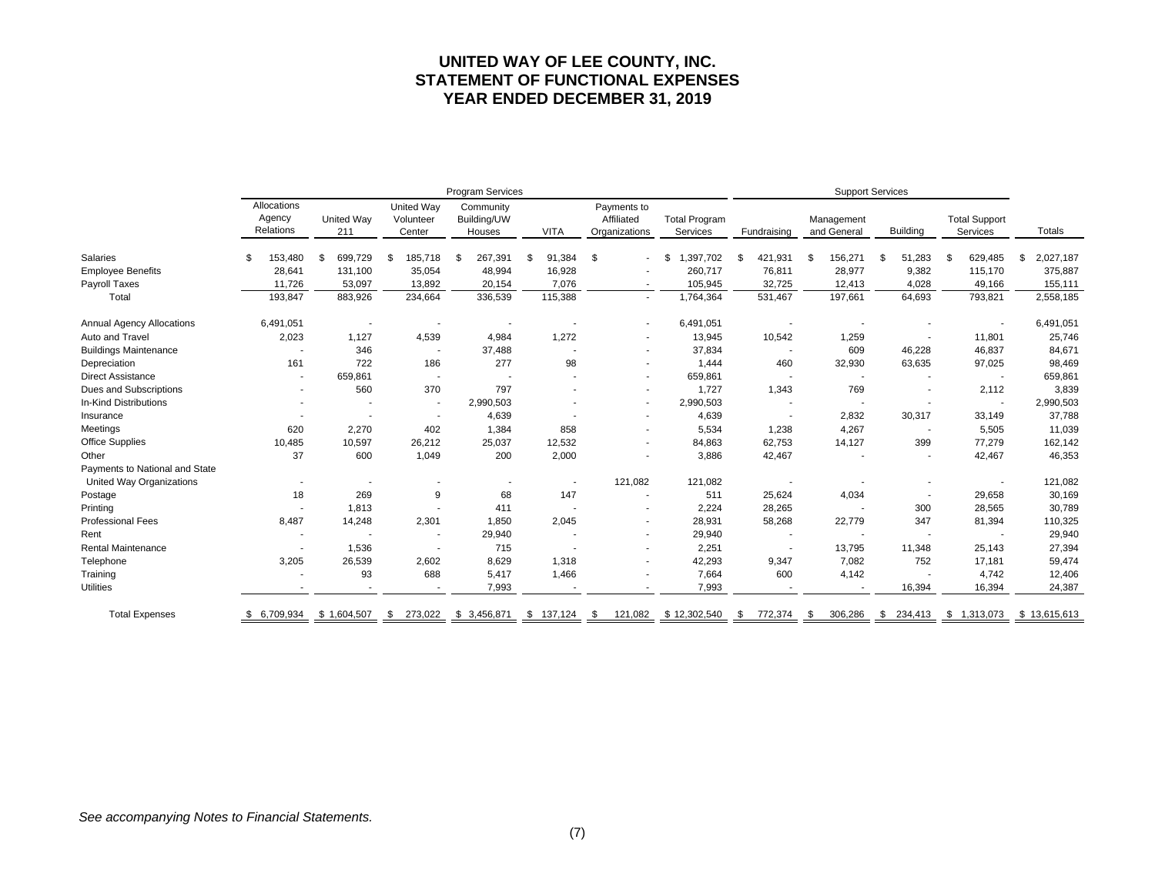### **UNITED WAY OF LEE COUNTY, INC. STATEMENT OF FUNCTIONAL EXPENSES YEAR ENDED DECEMBER 31, 2019**

|                                  |                                    |                   |                                   | <b>Program Services</b>            |               |                                            |                                  | <b>Support Services</b> |                           |                 |                                  |                 |
|----------------------------------|------------------------------------|-------------------|-----------------------------------|------------------------------------|---------------|--------------------------------------------|----------------------------------|-------------------------|---------------------------|-----------------|----------------------------------|-----------------|
|                                  | Allocations<br>Agency<br>Relations | United Way<br>211 | United Way<br>Volunteer<br>Center | Community<br>Building/UW<br>Houses | <b>VITA</b>   | Payments to<br>Affiliated<br>Organizations | <b>Total Program</b><br>Services | Fundraising             | Management<br>and General | <b>Building</b> | <b>Total Support</b><br>Services | Totals          |
| <b>Salaries</b>                  | 153,480<br>\$.                     | 699,729<br>\$     | \$<br>185,718                     | \$<br>267,391                      | 91,384<br>-\$ | \$                                         | ,397,702                         | \$<br>421,931           | 156,271<br>\$             | 51,283<br>-S    | 629,485<br>-S                    | 2,027,187<br>\$ |
| <b>Employee Benefits</b>         | 28,641                             | 131,100           | 35,054                            | 48,994                             | 16,928        |                                            | 260,717                          | 76,811                  | 28,977                    | 9,382           | 115,170                          | 375,887         |
| Payroll Taxes                    | 11,726                             | 53,097            | 13,892                            | 20,154                             | 7,076         | $\sim$                                     | 105,945                          | 32,725                  | 12,413                    | 4,028           | 49,166                           | 155,111         |
| Total                            | 193,847                            | 883,926           | 234,664                           | 336,539                            | 115,388       | $\sim$                                     | 1,764,364                        | 531,467                 | 197,661                   | 64,693          | 793,821                          | 2,558,185       |
| <b>Annual Agency Allocations</b> | 6,491,051                          |                   |                                   |                                    |               | $\sim$                                     | 6,491,051                        |                         |                           |                 |                                  | 6,491,051       |
| Auto and Travel                  | 2,023                              | 1,127             | 4,539                             | 4,984                              | 1,272         | $\sim$                                     | 13,945                           | 10,542                  | 1,259                     |                 | 11,801                           | 25,746          |
| <b>Buildings Maintenance</b>     |                                    | 346               |                                   | 37,488                             |               | ٠                                          | 37,834                           |                         | 609                       | 46,228          | 46,837                           | 84,671          |
| Depreciation                     | 161                                | 722               | 186                               | 277                                | 98            | ٠                                          | 1,444                            | 460                     | 32,930                    | 63,635          | 97,025                           | 98,469          |
| <b>Direct Assistance</b>         | $\overline{\phantom{a}}$           | 659,861           |                                   |                                    |               | $\sim$                                     | 659,861                          |                         | $\blacksquare$            |                 |                                  | 659,861         |
| Dues and Subscriptions           | $\overline{\phantom{a}}$           | 560               | 370                               | 797                                |               | $\overline{\phantom{a}}$                   | 1,727                            | 1,343                   | 769                       |                 | 2,112                            | 3,839           |
| In-Kind Distributions            |                                    |                   |                                   | 2,990,503                          |               | $\overline{\phantom{a}}$                   | 2,990,503                        |                         | $\overline{\phantom{a}}$  |                 | $\overline{\phantom{a}}$         | 2,990,503       |
| Insurance                        |                                    |                   |                                   | 4,639                              |               |                                            | 4,639                            |                         | 2,832                     | 30,317          | 33,149                           | 37,788          |
| Meetings                         | 620                                | 2,270             | 402                               | 1,384                              | 858           | $\overline{\phantom{a}}$                   | 5,534                            | 1,238                   | 4,267                     |                 | 5,505                            | 11,039          |
| <b>Office Supplies</b>           | 10,485                             | 10,597            | 26,212                            | 25,037                             | 12,532        | $\blacksquare$                             | 84,863                           | 62,753                  | 14,127                    | 399             | 77,279                           | 162,142         |
| Other                            | 37                                 | 600               | 1,049                             | 200                                | 2,000         | ٠                                          | 3,886                            | 42,467                  |                           |                 | 42,467                           | 46,353          |
| Payments to National and State   |                                    |                   |                                   |                                    |               |                                            |                                  |                         |                           |                 |                                  |                 |
| United Way Organizations         | $\overline{\phantom{a}}$           |                   |                                   | $\sim$                             |               | 121,082                                    | 121,082                          |                         |                           |                 |                                  | 121,082         |
| Postage                          | 18                                 | 269               | 9                                 | 68                                 | 147           |                                            | 511                              | 25,624                  | 4,034                     |                 | 29,658                           | 30,169          |
| Printing                         | $\overline{\phantom{a}}$           | 1,813             |                                   | 411                                |               | $\blacksquare$                             | 2,224                            | 28,265                  |                           | 300             | 28,565                           | 30,789          |
| <b>Professional Fees</b>         | 8,487                              | 14,248            | 2,301                             | 1,850                              | 2,045         |                                            | 28,931                           | 58,268                  | 22,779                    | 347             | 81,394                           | 110,325         |
| Rent                             |                                    |                   |                                   | 29,940                             |               |                                            | 29,940                           |                         |                           |                 |                                  | 29,940          |
| <b>Rental Maintenance</b>        |                                    | 1,536             |                                   | 715                                |               | $\overline{\phantom{a}}$                   | 2,251                            |                         | 13,795                    | 11,348          | 25,143                           | 27,394          |
| Telephone                        | 3,205                              | 26,539            | 2,602                             | 8,629                              | 1,318         | $\overline{\phantom{a}}$                   | 42,293                           | 9,347                   | 7,082                     | 752             | 17,181                           | 59,474          |
| Training                         |                                    | 93                | 688                               | 5,417                              | 1,466         |                                            | 7,664                            | 600                     | 4,142                     |                 | 4,742                            | 12,406          |
| <b>Utilities</b>                 |                                    |                   |                                   | 7,993                              |               |                                            | 7,993                            |                         |                           | 16,394          | 16,394                           | 24,387          |
| <b>Total Expenses</b>            | 6,709,934                          | \$1,604,507       | 273,022<br>\$                     | \$3,456,871                        | \$137,124     | 121,082<br>-\$                             | \$12,302,540                     | 772,374<br>\$           | - \$<br>306,286           | 234,413<br>\$   | \$1,313,073                      | \$13,615,613    |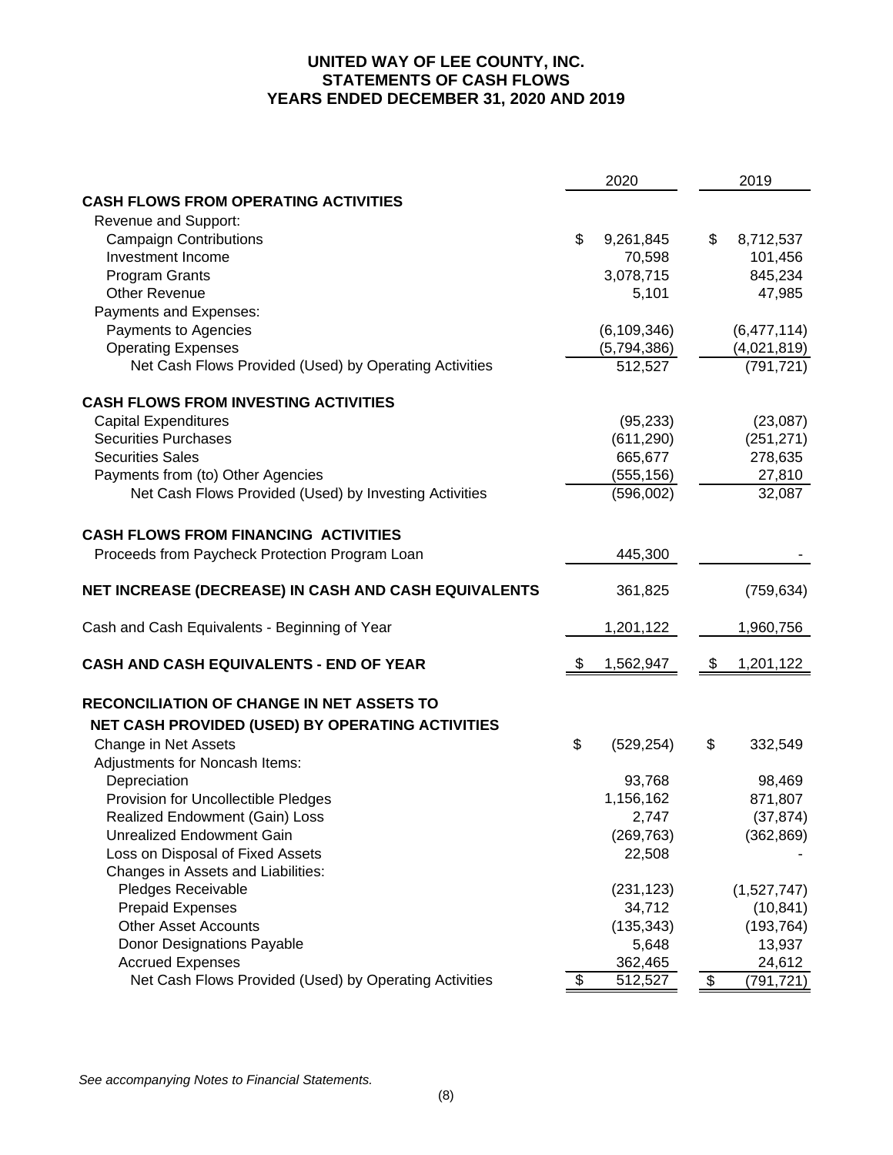## **UNITED WAY OF LEE COUNTY, INC. STATEMENTS OF CASH FLOWS YEARS ENDED DECEMBER 31, 2020 AND 2019**

|                                                        | 2020             |    | 2019          |
|--------------------------------------------------------|------------------|----|---------------|
| <b>CASH FLOWS FROM OPERATING ACTIVITIES</b>            |                  |    |               |
| Revenue and Support:                                   |                  |    |               |
| <b>Campaign Contributions</b>                          | \$<br>9,261,845  | \$ | 8,712,537     |
| Investment Income                                      | 70,598           |    | 101,456       |
| <b>Program Grants</b>                                  | 3,078,715        |    | 845,234       |
| <b>Other Revenue</b>                                   | 5,101            |    | 47,985        |
| Payments and Expenses:                                 |                  |    |               |
| Payments to Agencies                                   | (6, 109, 346)    |    | (6, 477, 114) |
| <b>Operating Expenses</b>                              | (5,794,386)      |    | (4,021,819)   |
| Net Cash Flows Provided (Used) by Operating Activities | 512,527          |    | (791, 721)    |
| <b>CASH FLOWS FROM INVESTING ACTIVITIES</b>            |                  |    |               |
| <b>Capital Expenditures</b>                            | (95, 233)        |    | (23,087)      |
| <b>Securities Purchases</b>                            | (611, 290)       |    | (251, 271)    |
| <b>Securities Sales</b>                                | 665,677          |    | 278,635       |
| Payments from (to) Other Agencies                      | (555, 156)       |    | 27,810        |
| Net Cash Flows Provided (Used) by Investing Activities | (596,002)        |    | 32,087        |
| <b>CASH FLOWS FROM FINANCING ACTIVITIES</b>            |                  |    |               |
| Proceeds from Paycheck Protection Program Loan         | 445,300          |    |               |
| NET INCREASE (DECREASE) IN CASH AND CASH EQUIVALENTS   | 361,825          |    | (759, 634)    |
| Cash and Cash Equivalents - Beginning of Year          | 1,201,122        |    | 1,960,756     |
| CASH AND CASH EQUIVALENTS - END OF YEAR                | 1,562,947        | P. | 1,201,122     |
| <b>RECONCILIATION OF CHANGE IN NET ASSETS TO</b>       |                  |    |               |
| NET CASH PROVIDED (USED) BY OPERATING ACTIVITIES       |                  |    |               |
| Change in Net Assets                                   | \$<br>(529, 254) | \$ | 332,549       |
| Adjustments for Noncash Items:                         |                  |    |               |
| Depreciation                                           | 93,768           |    | 98,469        |
| Provision for Uncollectible Pledges                    | 1,156,162        |    | 871,807       |
| Realized Endowment (Gain) Loss                         | 2,747            |    | (37, 874)     |
| <b>Unrealized Endowment Gain</b>                       | (269, 763)       |    | (362, 869)    |
| Loss on Disposal of Fixed Assets                       | 22,508           |    |               |
| Changes in Assets and Liabilities:                     |                  |    |               |
| Pledges Receivable                                     | (231, 123)       |    | (1,527,747)   |
| <b>Prepaid Expenses</b>                                | 34,712           |    | (10, 841)     |
| <b>Other Asset Accounts</b>                            | (135, 343)       |    | (193, 764)    |
| <b>Donor Designations Payable</b>                      | 5,648            |    | 13,937        |
| <b>Accrued Expenses</b>                                | 362,465          |    | 24,612        |
| Net Cash Flows Provided (Used) by Operating Activities | \$<br>512,527    | \$ | (791, 721)    |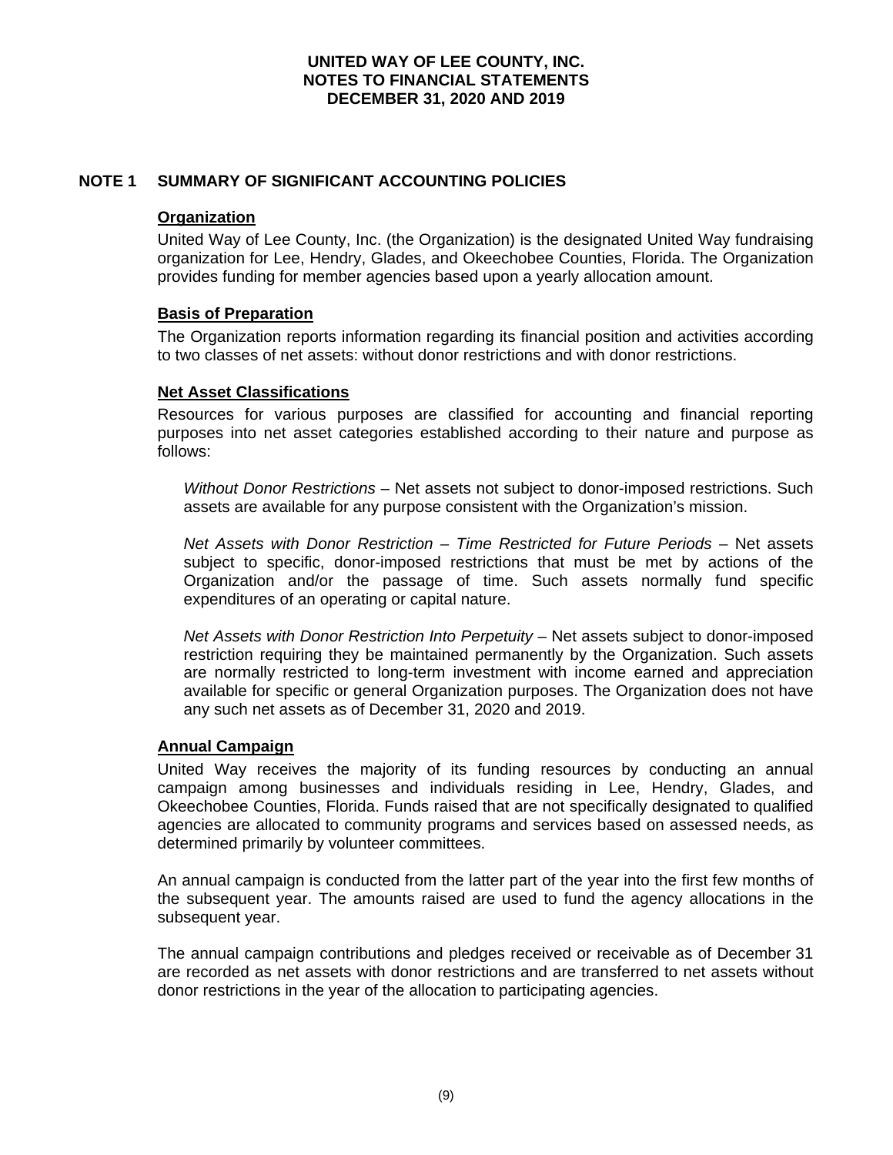## **NOTE 1 SUMMARY OF SIGNIFICANT ACCOUNTING POLICIES**

#### **Organization**

United Way of Lee County, Inc. (the Organization) is the designated United Way fundraising organization for Lee, Hendry, Glades, and Okeechobee Counties, Florida. The Organization provides funding for member agencies based upon a yearly allocation amount.

### **Basis of Preparation**

The Organization reports information regarding its financial position and activities according to two classes of net assets: without donor restrictions and with donor restrictions.

### **Net Asset Classifications**

Resources for various purposes are classified for accounting and financial reporting purposes into net asset categories established according to their nature and purpose as follows:

*Without Donor Restrictions* – Net assets not subject to donor-imposed restrictions. Such assets are available for any purpose consistent with the Organization's mission.

*Net Assets with Donor Restriction – Time Restricted for Future Periods* – Net assets subject to specific, donor-imposed restrictions that must be met by actions of the Organization and/or the passage of time. Such assets normally fund specific expenditures of an operating or capital nature.

*Net Assets with Donor Restriction Into Perpetuity* – Net assets subject to donor-imposed restriction requiring they be maintained permanently by the Organization. Such assets are normally restricted to long-term investment with income earned and appreciation available for specific or general Organization purposes. The Organization does not have any such net assets as of December 31, 2020 and 2019.

#### **Annual Campaign**

United Way receives the majority of its funding resources by conducting an annual campaign among businesses and individuals residing in Lee, Hendry, Glades, and Okeechobee Counties, Florida. Funds raised that are not specifically designated to qualified agencies are allocated to community programs and services based on assessed needs, as determined primarily by volunteer committees.

An annual campaign is conducted from the latter part of the year into the first few months of the subsequent year. The amounts raised are used to fund the agency allocations in the subsequent year.

The annual campaign contributions and pledges received or receivable as of December 31 are recorded as net assets with donor restrictions and are transferred to net assets without donor restrictions in the year of the allocation to participating agencies.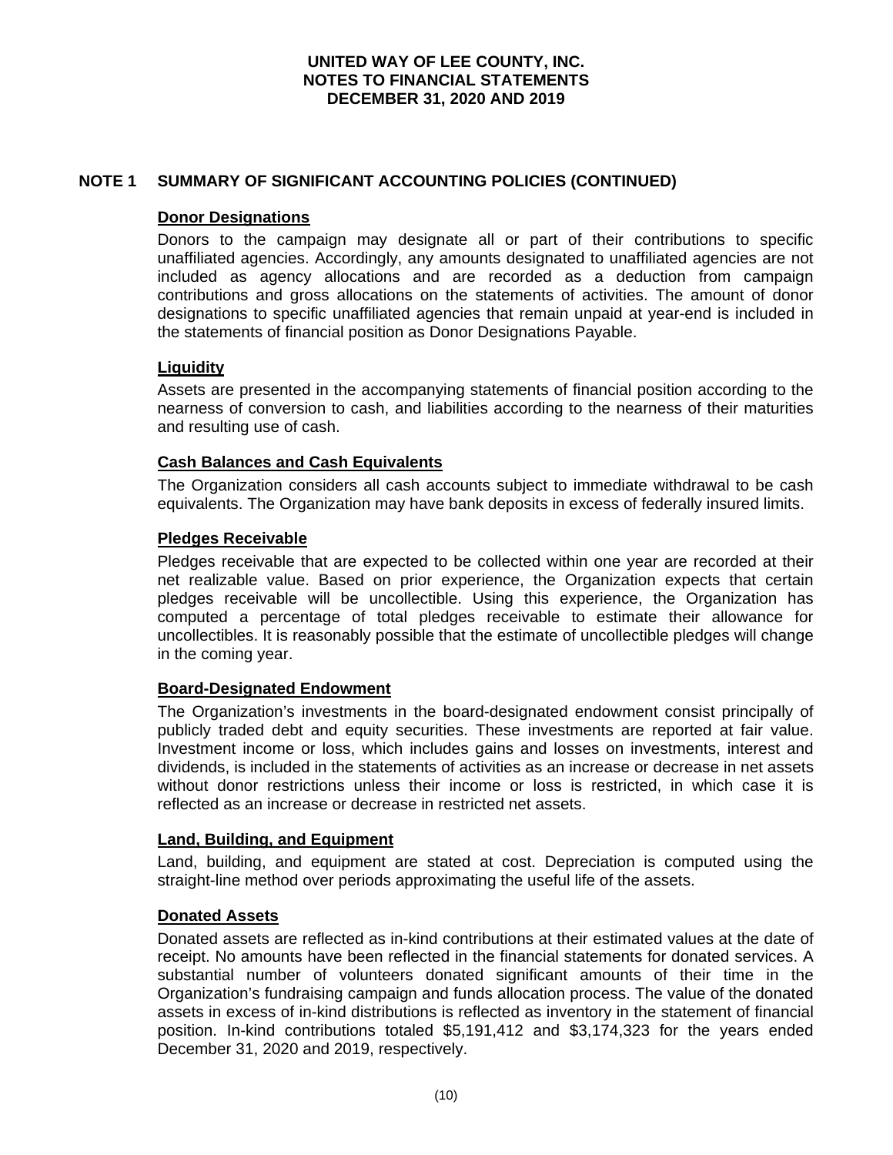## **NOTE 1 SUMMARY OF SIGNIFICANT ACCOUNTING POLICIES (CONTINUED)**

#### **Donor Designations**

Donors to the campaign may designate all or part of their contributions to specific unaffiliated agencies. Accordingly, any amounts designated to unaffiliated agencies are not included as agency allocations and are recorded as a deduction from campaign contributions and gross allocations on the statements of activities. The amount of donor designations to specific unaffiliated agencies that remain unpaid at year-end is included in the statements of financial position as Donor Designations Payable.

### **Liquidity**

Assets are presented in the accompanying statements of financial position according to the nearness of conversion to cash, and liabilities according to the nearness of their maturities and resulting use of cash.

### **Cash Balances and Cash Equivalents**

The Organization considers all cash accounts subject to immediate withdrawal to be cash equivalents. The Organization may have bank deposits in excess of federally insured limits.

### **Pledges Receivable**

Pledges receivable that are expected to be collected within one year are recorded at their net realizable value. Based on prior experience, the Organization expects that certain pledges receivable will be uncollectible. Using this experience, the Organization has computed a percentage of total pledges receivable to estimate their allowance for uncollectibles. It is reasonably possible that the estimate of uncollectible pledges will change in the coming year.

### **Board-Designated Endowment**

The Organization's investments in the board-designated endowment consist principally of publicly traded debt and equity securities. These investments are reported at fair value. Investment income or loss, which includes gains and losses on investments, interest and dividends, is included in the statements of activities as an increase or decrease in net assets without donor restrictions unless their income or loss is restricted, in which case it is reflected as an increase or decrease in restricted net assets.

### **Land, Building, and Equipment**

Land, building, and equipment are stated at cost. Depreciation is computed using the straight-line method over periods approximating the useful life of the assets.

### **Donated Assets**

Donated assets are reflected as in-kind contributions at their estimated values at the date of receipt. No amounts have been reflected in the financial statements for donated services. A substantial number of volunteers donated significant amounts of their time in the Organization's fundraising campaign and funds allocation process. The value of the donated assets in excess of in-kind distributions is reflected as inventory in the statement of financial position. In-kind contributions totaled \$5,191,412 and \$3,174,323 for the years ended December 31, 2020 and 2019, respectively.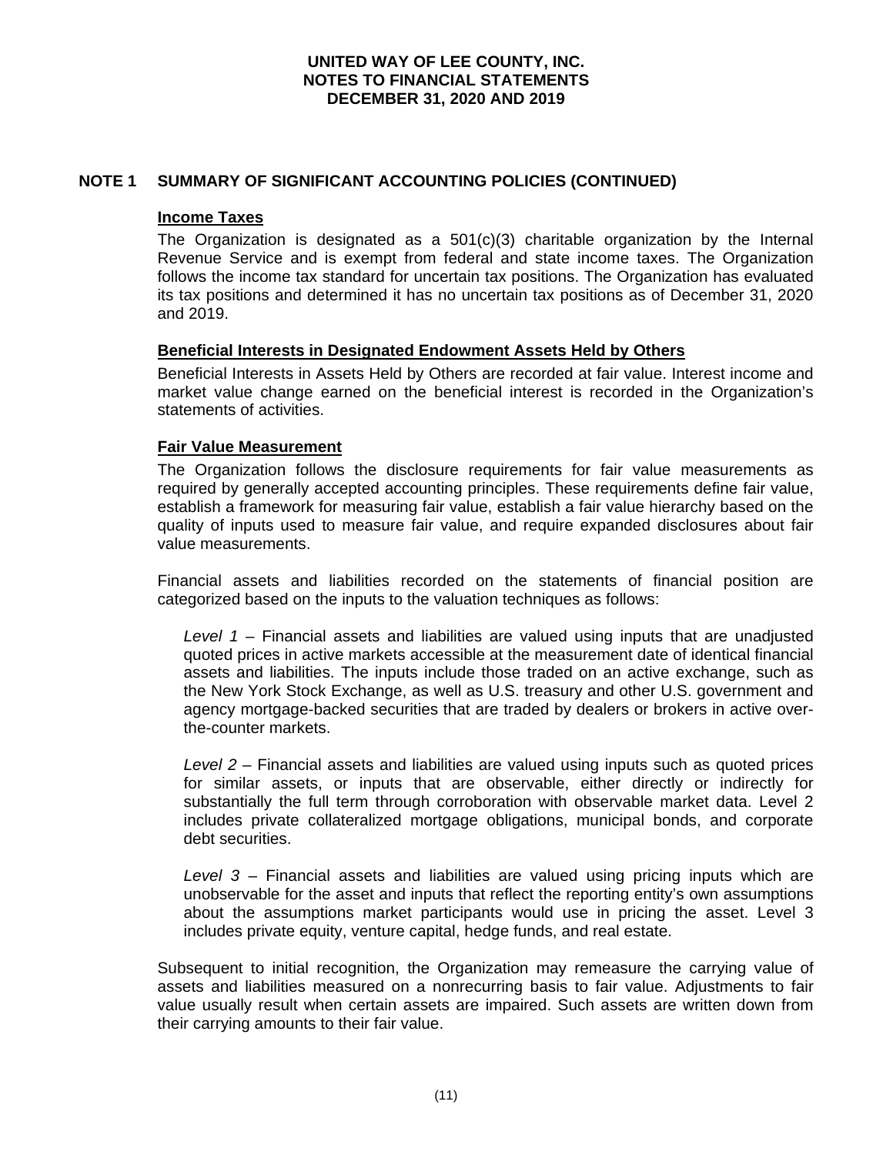## **NOTE 1 SUMMARY OF SIGNIFICANT ACCOUNTING POLICIES (CONTINUED)**

### **Income Taxes**

The Organization is designated as a 501(c)(3) charitable organization by the Internal Revenue Service and is exempt from federal and state income taxes. The Organization follows the income tax standard for uncertain tax positions. The Organization has evaluated its tax positions and determined it has no uncertain tax positions as of December 31, 2020 and 2019.

### **Beneficial Interests in Designated Endowment Assets Held by Others**

Beneficial Interests in Assets Held by Others are recorded at fair value. Interest income and market value change earned on the beneficial interest is recorded in the Organization's statements of activities.

### **Fair Value Measurement**

The Organization follows the disclosure requirements for fair value measurements as required by generally accepted accounting principles. These requirements define fair value, establish a framework for measuring fair value, establish a fair value hierarchy based on the quality of inputs used to measure fair value, and require expanded disclosures about fair value measurements.

Financial assets and liabilities recorded on the statements of financial position are categorized based on the inputs to the valuation techniques as follows:

*Level 1* – Financial assets and liabilities are valued using inputs that are unadjusted quoted prices in active markets accessible at the measurement date of identical financial assets and liabilities. The inputs include those traded on an active exchange, such as the New York Stock Exchange, as well as U.S. treasury and other U.S. government and agency mortgage-backed securities that are traded by dealers or brokers in active overthe-counter markets.

*Level 2* – Financial assets and liabilities are valued using inputs such as quoted prices for similar assets, or inputs that are observable, either directly or indirectly for substantially the full term through corroboration with observable market data. Level 2 includes private collateralized mortgage obligations, municipal bonds, and corporate debt securities.

*Level 3* – Financial assets and liabilities are valued using pricing inputs which are unobservable for the asset and inputs that reflect the reporting entity's own assumptions about the assumptions market participants would use in pricing the asset. Level 3 includes private equity, venture capital, hedge funds, and real estate.

Subsequent to initial recognition, the Organization may remeasure the carrying value of assets and liabilities measured on a nonrecurring basis to fair value. Adjustments to fair value usually result when certain assets are impaired. Such assets are written down from their carrying amounts to their fair value.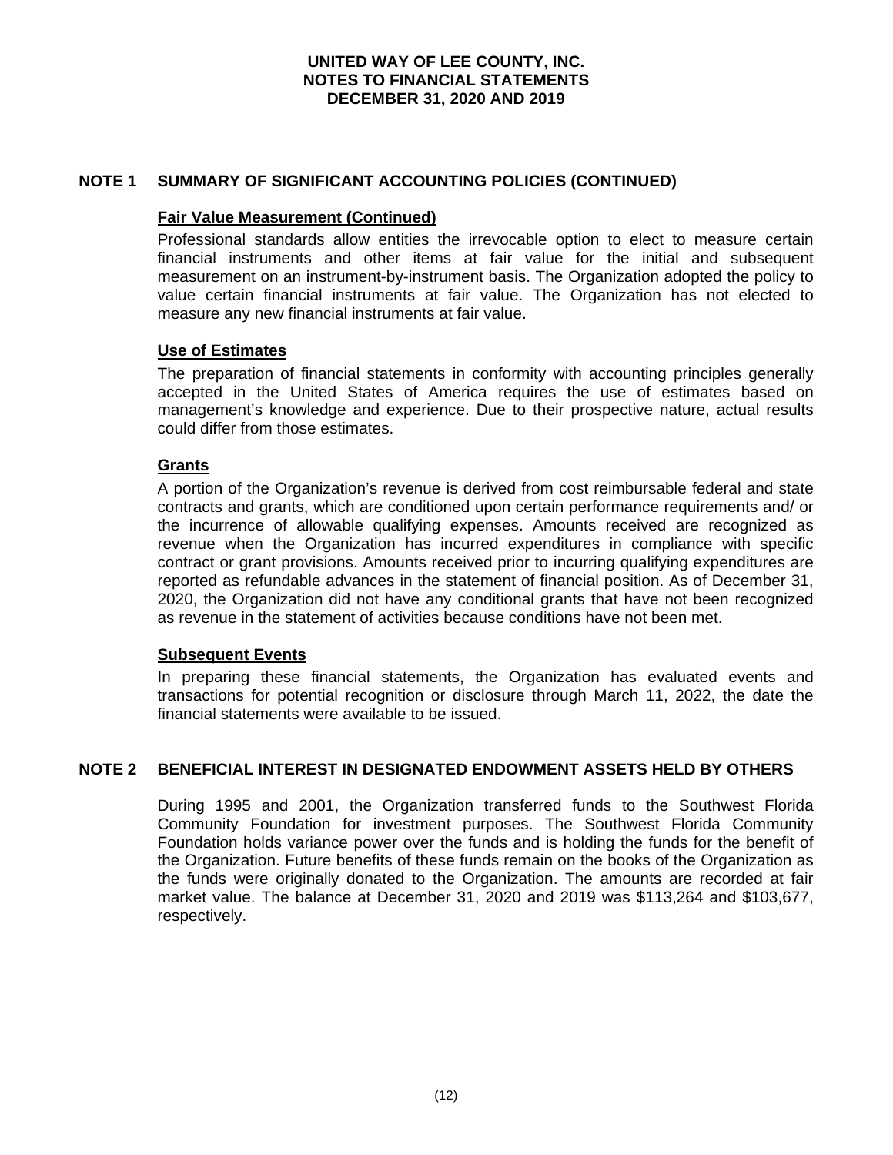### **NOTE 1 SUMMARY OF SIGNIFICANT ACCOUNTING POLICIES (CONTINUED)**

### **Fair Value Measurement (Continued)**

Professional standards allow entities the irrevocable option to elect to measure certain financial instruments and other items at fair value for the initial and subsequent measurement on an instrument-by-instrument basis. The Organization adopted the policy to value certain financial instruments at fair value. The Organization has not elected to measure any new financial instruments at fair value.

### **Use of Estimates**

The preparation of financial statements in conformity with accounting principles generally accepted in the United States of America requires the use of estimates based on management's knowledge and experience. Due to their prospective nature, actual results could differ from those estimates.

### **Grants**

A portion of the Organization's revenue is derived from cost reimbursable federal and state contracts and grants, which are conditioned upon certain performance requirements and/ or the incurrence of allowable qualifying expenses. Amounts received are recognized as revenue when the Organization has incurred expenditures in compliance with specific contract or grant provisions. Amounts received prior to incurring qualifying expenditures are reported as refundable advances in the statement of financial position. As of December 31, 2020, the Organization did not have any conditional grants that have not been recognized as revenue in the statement of activities because conditions have not been met.

### **Subsequent Events**

In preparing these financial statements, the Organization has evaluated events and transactions for potential recognition or disclosure through March 11, 2022, the date the financial statements were available to be issued.

## **NOTE 2 BENEFICIAL INTEREST IN DESIGNATED ENDOWMENT ASSETS HELD BY OTHERS**

During 1995 and 2001, the Organization transferred funds to the Southwest Florida Community Foundation for investment purposes. The Southwest Florida Community Foundation holds variance power over the funds and is holding the funds for the benefit of the Organization. Future benefits of these funds remain on the books of the Organization as the funds were originally donated to the Organization. The amounts are recorded at fair market value. The balance at December 31, 2020 and 2019 was \$113,264 and \$103,677, respectively.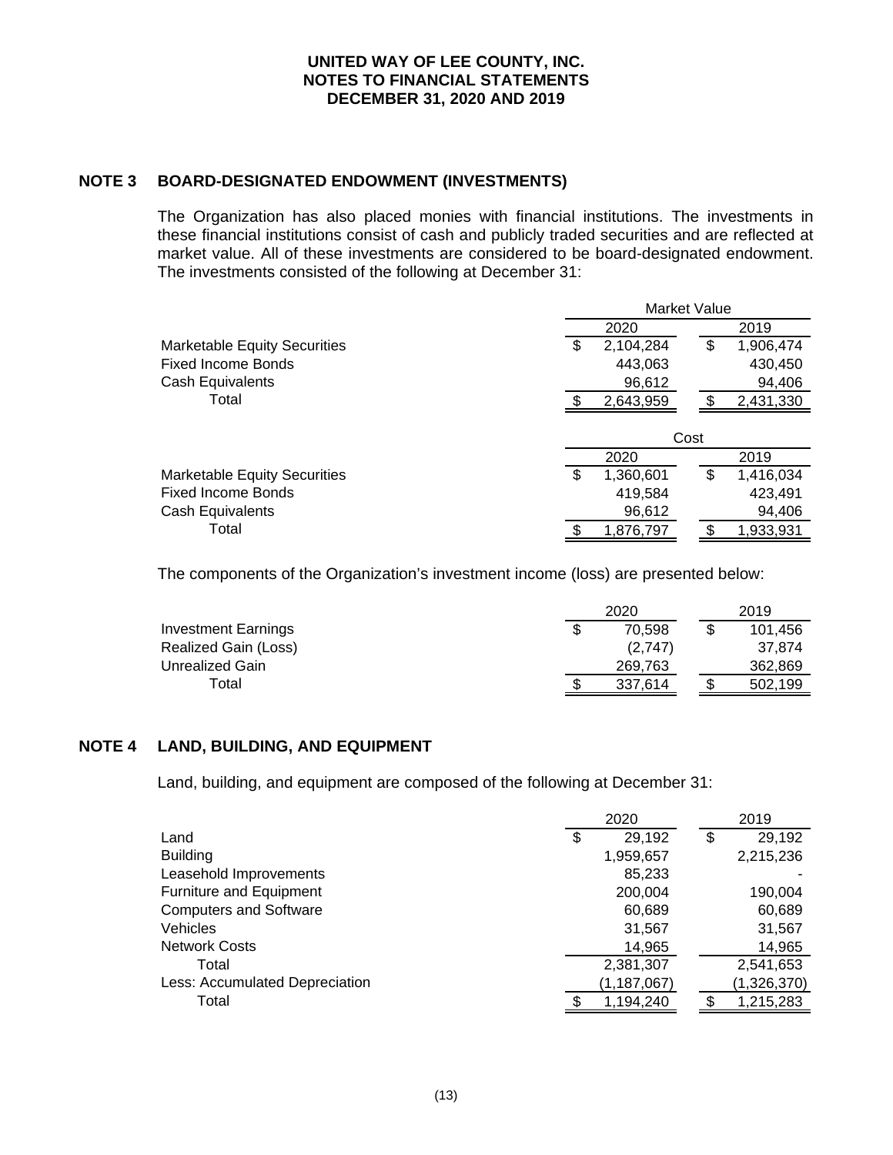### **NOTE 3 BOARD-DESIGNATED ENDOWMENT (INVESTMENTS)**

The Organization has also placed monies with financial institutions. The investments in these financial institutions consist of cash and publicly traded securities and are reflected at market value. All of these investments are considered to be board-designated endowment. The investments consisted of the following at December 31:

|                                     | Market Value          |           |  |  |  |  |  |
|-------------------------------------|-----------------------|-----------|--|--|--|--|--|
|                                     | 2020                  | 2019      |  |  |  |  |  |
| <b>Marketable Equity Securities</b> | 2,104,284<br>\$<br>\$ | 1,906,474 |  |  |  |  |  |
| Fixed Income Bonds                  | 443,063               | 430,450   |  |  |  |  |  |
| Cash Equivalents                    | 96,612                | 94,406    |  |  |  |  |  |
| Total                               | 2,643,959<br>£.       | 2,431,330 |  |  |  |  |  |
|                                     | Cost                  |           |  |  |  |  |  |
|                                     | 2020                  | 2019      |  |  |  |  |  |
| <b>Marketable Equity Securities</b> | 1,360,601<br>\$       | 1,416,034 |  |  |  |  |  |
| Fixed Income Bonds                  | 419,584               | 423,491   |  |  |  |  |  |
| Cash Equivalents                    | 96,612                | 94,406    |  |  |  |  |  |
| Total                               | 1,876,797             | 1,933,931 |  |  |  |  |  |

The components of the Organization's investment income (loss) are presented below:

|                      | 2020    | 2019    |
|----------------------|---------|---------|
| Investment Earnings  | 70.598  | 101.456 |
| Realized Gain (Loss) | (2,747) | 37.874  |
| Unrealized Gain      | 269,763 | 362.869 |
| Total                | 337.614 | 502,199 |

## **NOTE 4 LAND, BUILDING, AND EQUIPMENT**

Land, building, and equipment are composed of the following at December 31:

|                                | 2020          |   | 2019        |  |  |
|--------------------------------|---------------|---|-------------|--|--|
| Land                           | \$<br>29,192  | S | 29,192      |  |  |
| <b>Building</b>                | 1,959,657     |   | 2,215,236   |  |  |
| Leasehold Improvements         | 85,233        |   |             |  |  |
| <b>Furniture and Equipment</b> | 200,004       |   | 190,004     |  |  |
| <b>Computers and Software</b>  | 60,689        |   | 60,689      |  |  |
| Vehicles                       | 31,567        |   | 31,567      |  |  |
| <b>Network Costs</b>           | 14,965        |   | 14,965      |  |  |
| Total                          | 2,381,307     |   | 2,541,653   |  |  |
| Less: Accumulated Depreciation | (1, 187, 067) |   | (1,326,370) |  |  |
| Total                          | 1,194,240     |   | 1,215,283   |  |  |
|                                |               |   |             |  |  |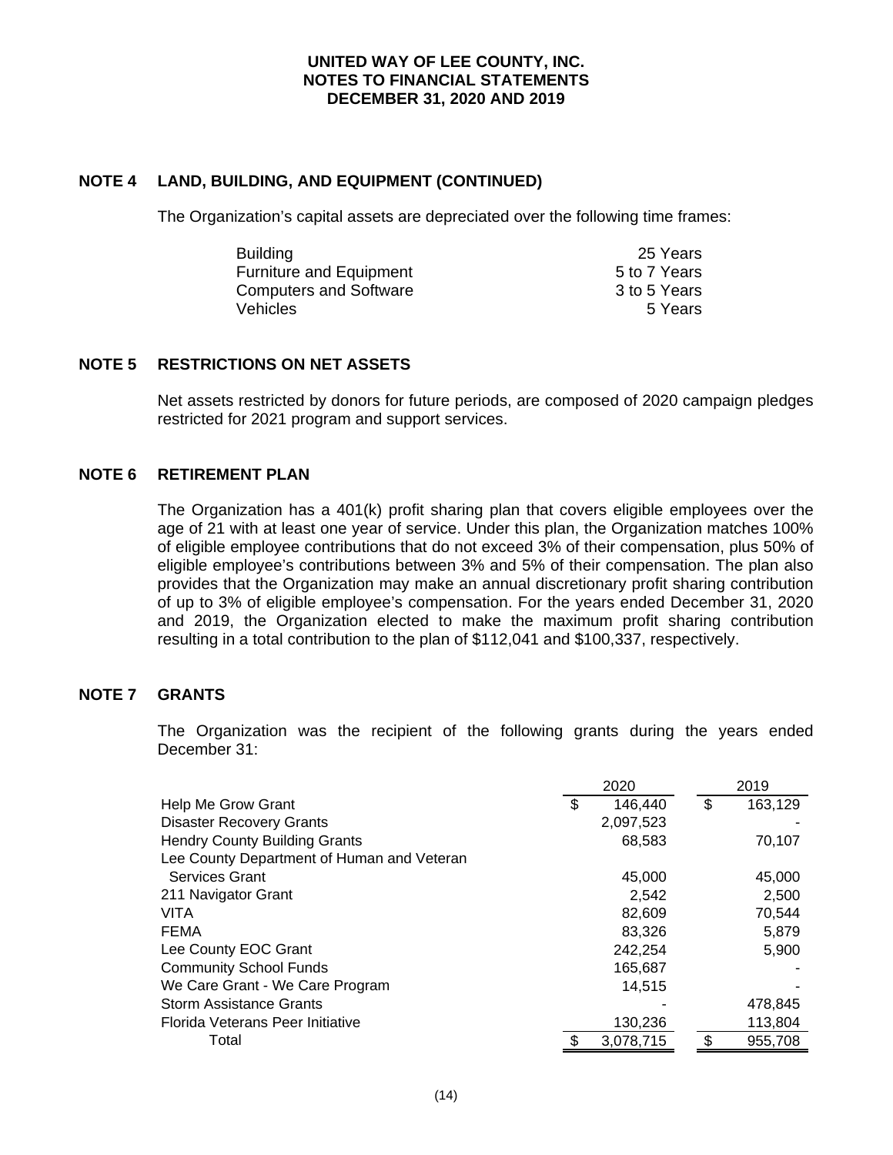### **NOTE 4 LAND, BUILDING, AND EQUIPMENT (CONTINUED)**

The Organization's capital assets are depreciated over the following time frames:

| <b>Building</b>                | 25 Years     |
|--------------------------------|--------------|
| <b>Furniture and Equipment</b> | 5 to 7 Years |
| <b>Computers and Software</b>  | 3 to 5 Years |
| <b>Vehicles</b>                | 5 Years      |

## **NOTE 5 RESTRICTIONS ON NET ASSETS**

Net assets restricted by donors for future periods, are composed of 2020 campaign pledges restricted for 2021 program and support services.

## **NOTE 6 RETIREMENT PLAN**

The Organization has a 401(k) profit sharing plan that covers eligible employees over the age of 21 with at least one year of service. Under this plan, the Organization matches 100% of eligible employee contributions that do not exceed 3% of their compensation, plus 50% of eligible employee's contributions between 3% and 5% of their compensation. The plan also provides that the Organization may make an annual discretionary profit sharing contribution of up to 3% of eligible employee's compensation. For the years ended December 31, 2020 and 2019, the Organization elected to make the maximum profit sharing contribution resulting in a total contribution to the plan of \$112,041 and \$100,337, respectively.

## **NOTE 7 GRANTS**

The Organization was the recipient of the following grants during the years ended December 31:

|                                            | 2020          | 2019          |
|--------------------------------------------|---------------|---------------|
| <b>Help Me Grow Grant</b>                  | \$<br>146,440 | \$<br>163,129 |
| <b>Disaster Recovery Grants</b>            | 2,097,523     |               |
| <b>Hendry County Building Grants</b>       | 68,583        | 70,107        |
| Lee County Department of Human and Veteran |               |               |
| <b>Services Grant</b>                      | 45,000        | 45,000        |
| 211 Navigator Grant                        | 2,542         | 2,500         |
| <b>VITA</b>                                | 82.609        | 70,544        |
| FEMA                                       | 83.326        | 5,879         |
| Lee County EOC Grant                       | 242,254       | 5,900         |
| <b>Community School Funds</b>              | 165,687       |               |
| We Care Grant - We Care Program            | 14,515        |               |
| <b>Storm Assistance Grants</b>             |               | 478,845       |
| Florida Veterans Peer Initiative           | 130,236       | 113,804       |
| Total                                      | 3.078.715     | 955,708       |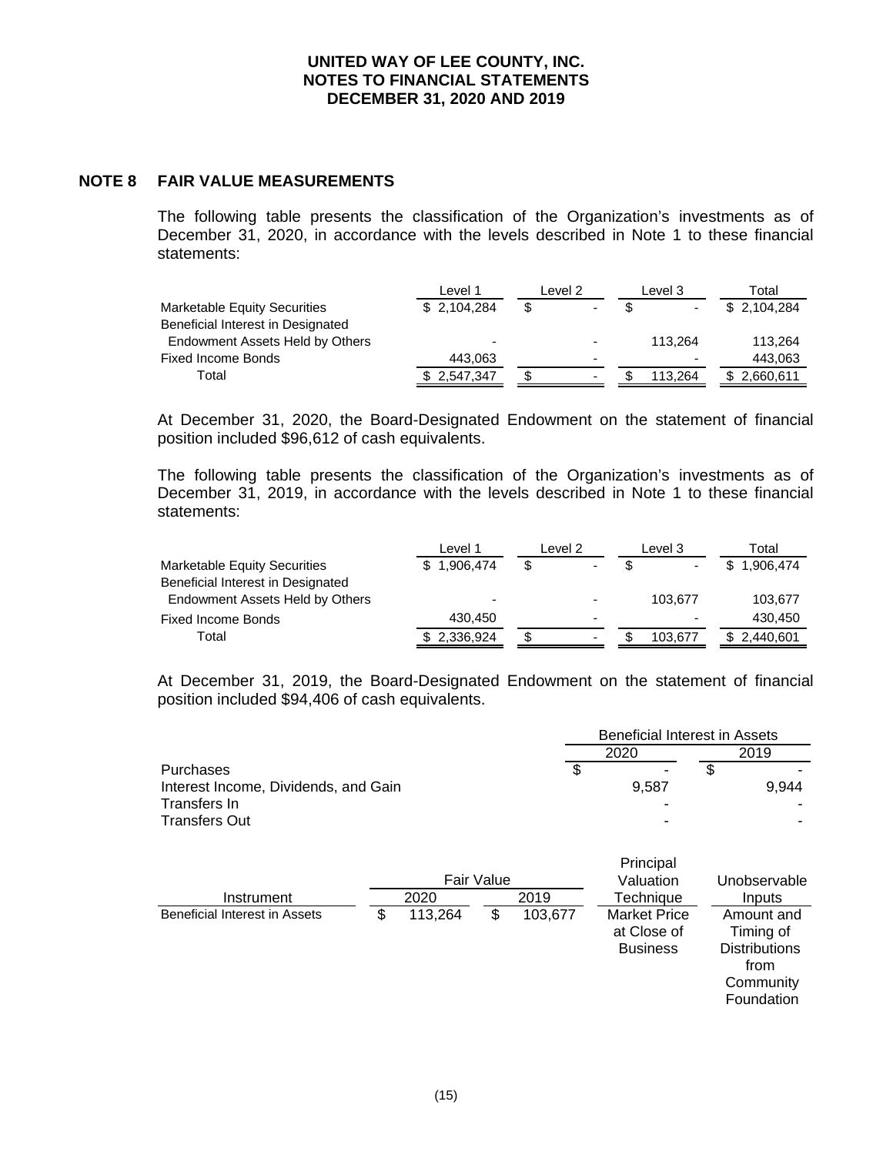### **NOTE 8 FAIR VALUE MEASUREMENTS**

The following table presents the classification of the Organization's investments as of December 31, 2020, in accordance with the levels described in Note 1 to these financial statements:

|                                     | Level 1                  | Level 2 |   | Level 3        | Total       |
|-------------------------------------|--------------------------|---------|---|----------------|-------------|
| <b>Marketable Equity Securities</b> | \$2.104.284              | \$      |   | $\blacksquare$ | \$2.104.284 |
| Beneficial Interest in Designated   |                          |         |   |                |             |
| Endowment Assets Held by Others     | $\overline{\phantom{0}}$ |         | - | 113.264        | 113.264     |
| Fixed Income Bonds                  | 443.063                  |         | - |                | 443,063     |
| Total                               | 2.547.347                | \$      | - | 113.264        | 2,660,611   |

At December 31, 2020, the Board-Designated Endowment on the statement of financial position included \$96,612 of cash equivalents.

The following table presents the classification of the Organization's investments as of December 31, 2019, in accordance with the levels described in Note 1 to these financial statements:

|                                     | Level 1                  | Level 2                  | Level 3 | Total     |
|-------------------------------------|--------------------------|--------------------------|---------|-----------|
| <b>Marketable Equity Securities</b> | \$1.906.474              | S                        |         | 1.906.474 |
| Beneficial Interest in Designated   |                          |                          |         |           |
| Endowment Assets Held by Others     | $\overline{\phantom{0}}$ | $\overline{\phantom{0}}$ | 103.677 | 103,677   |
| Fixed Income Bonds                  | 430.450                  | $\overline{\phantom{0}}$ |         | 430,450   |
| Total                               | 2,336,924                | $\overline{\phantom{a}}$ | 103.677 | 2,440,601 |

At December 31, 2019, the Board-Designated Endowment on the statement of financial position included \$94,406 of cash equivalents.

|                                      |     |                   |               | Beneficial Interest in Assets |                      |
|--------------------------------------|-----|-------------------|---------------|-------------------------------|----------------------|
|                                      |     |                   |               | 2020                          | 2019                 |
| <b>Purchases</b>                     |     |                   |               |                               | \$                   |
| Interest Income, Dividends, and Gain |     |                   |               | 9,587                         | 9,944                |
| Transfers In                         |     |                   |               |                               |                      |
| <b>Transfers Out</b>                 |     |                   |               |                               |                      |
|                                      |     |                   |               |                               |                      |
|                                      |     |                   |               | Principal                     |                      |
|                                      |     | <b>Fair Value</b> |               | Valuation                     | Unobservable         |
| Instrument                           |     | 2020              | 2019          | Technique                     | Inputs               |
| Beneficial Interest in Assets        | \$. | 113,264           | \$<br>103,677 | <b>Market Price</b>           | Amount and           |
|                                      |     |                   |               | at Close of                   | Timing of            |
|                                      |     |                   |               | <b>Business</b>               | <b>Distributions</b> |
|                                      |     |                   |               |                               | from                 |
|                                      |     |                   |               |                               | Community            |
|                                      |     |                   |               |                               | Foundation           |
|                                      |     |                   |               |                               |                      |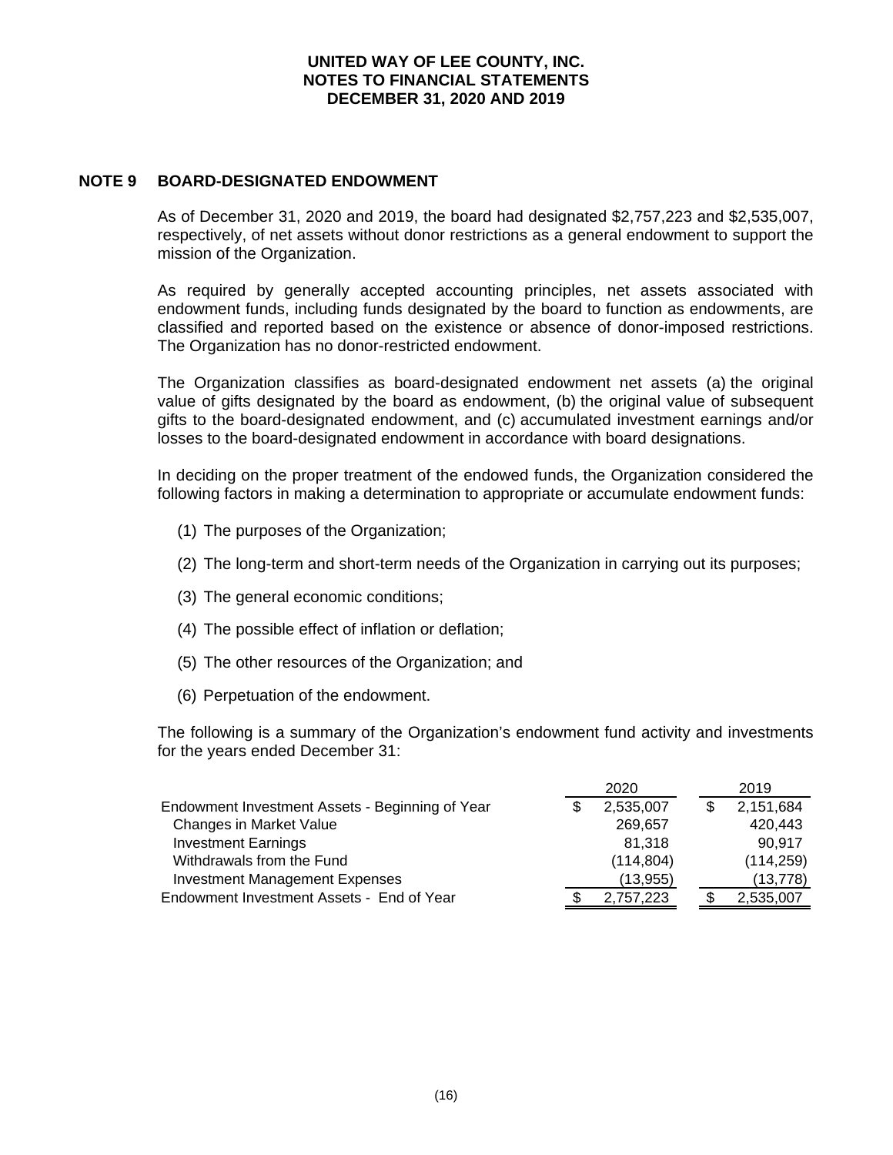### **NOTE 9 BOARD-DESIGNATED ENDOWMENT**

As of December 31, 2020 and 2019, the board had designated \$2,757,223 and \$2,535,007, respectively, of net assets without donor restrictions as a general endowment to support the mission of the Organization.

As required by generally accepted accounting principles, net assets associated with endowment funds, including funds designated by the board to function as endowments, are classified and reported based on the existence or absence of donor-imposed restrictions. The Organization has no donor-restricted endowment.

The Organization classifies as board-designated endowment net assets (a) the original value of gifts designated by the board as endowment, (b) the original value of subsequent gifts to the board-designated endowment, and (c) accumulated investment earnings and/or losses to the board-designated endowment in accordance with board designations.

In deciding on the proper treatment of the endowed funds, the Organization considered the following factors in making a determination to appropriate or accumulate endowment funds:

- (1) The purposes of the Organization;
- (2) The long-term and short-term needs of the Organization in carrying out its purposes;
- (3) The general economic conditions;
- (4) The possible effect of inflation or deflation;
- (5) The other resources of the Organization; and
- (6) Perpetuation of the endowment.

The following is a summary of the Organization's endowment fund activity and investments for the years ended December 31:

|                                                 | 2020            | 2019       |
|-------------------------------------------------|-----------------|------------|
| Endowment Investment Assets - Beginning of Year | \$<br>2,535,007 | 2,151,684  |
| Changes in Market Value                         | 269,657         | 420,443    |
| <b>Investment Earnings</b>                      | 81.318          | 90.917     |
| Withdrawals from the Fund                       | (114, 804)      | (114, 259) |
| <b>Investment Management Expenses</b>           | (13, 955)       | (13, 778)  |
| Endowment Investment Assets - End of Year       | 2,757,223       | 2,535,007  |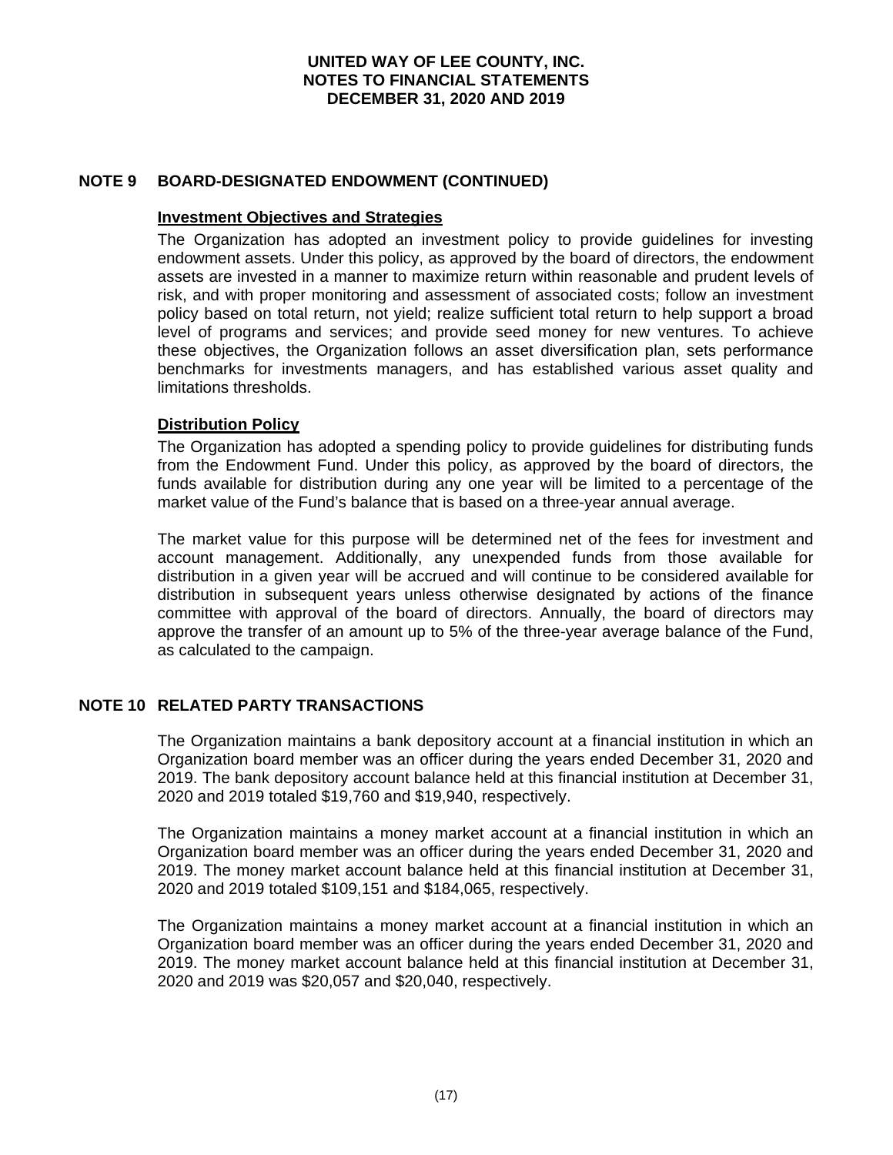### **NOTE 9 BOARD-DESIGNATED ENDOWMENT (CONTINUED)**

#### **Investment Objectives and Strategies**

The Organization has adopted an investment policy to provide guidelines for investing endowment assets. Under this policy, as approved by the board of directors, the endowment assets are invested in a manner to maximize return within reasonable and prudent levels of risk, and with proper monitoring and assessment of associated costs; follow an investment policy based on total return, not yield; realize sufficient total return to help support a broad level of programs and services; and provide seed money for new ventures. To achieve these objectives, the Organization follows an asset diversification plan, sets performance benchmarks for investments managers, and has established various asset quality and limitations thresholds.

### **Distribution Policy**

The Organization has adopted a spending policy to provide guidelines for distributing funds from the Endowment Fund. Under this policy, as approved by the board of directors, the funds available for distribution during any one year will be limited to a percentage of the market value of the Fund's balance that is based on a three-year annual average.

The market value for this purpose will be determined net of the fees for investment and account management. Additionally, any unexpended funds from those available for distribution in a given year will be accrued and will continue to be considered available for distribution in subsequent years unless otherwise designated by actions of the finance committee with approval of the board of directors. Annually, the board of directors may approve the transfer of an amount up to 5% of the three-year average balance of the Fund, as calculated to the campaign.

### **NOTE 10 RELATED PARTY TRANSACTIONS**

The Organization maintains a bank depository account at a financial institution in which an Organization board member was an officer during the years ended December 31, 2020 and 2019. The bank depository account balance held at this financial institution at December 31, 2020 and 2019 totaled \$19,760 and \$19,940, respectively.

The Organization maintains a money market account at a financial institution in which an Organization board member was an officer during the years ended December 31, 2020 and 2019. The money market account balance held at this financial institution at December 31, 2020 and 2019 totaled \$109,151 and \$184,065, respectively.

The Organization maintains a money market account at a financial institution in which an Organization board member was an officer during the years ended December 31, 2020 and 2019. The money market account balance held at this financial institution at December 31, 2020 and 2019 was \$20,057 and \$20,040, respectively.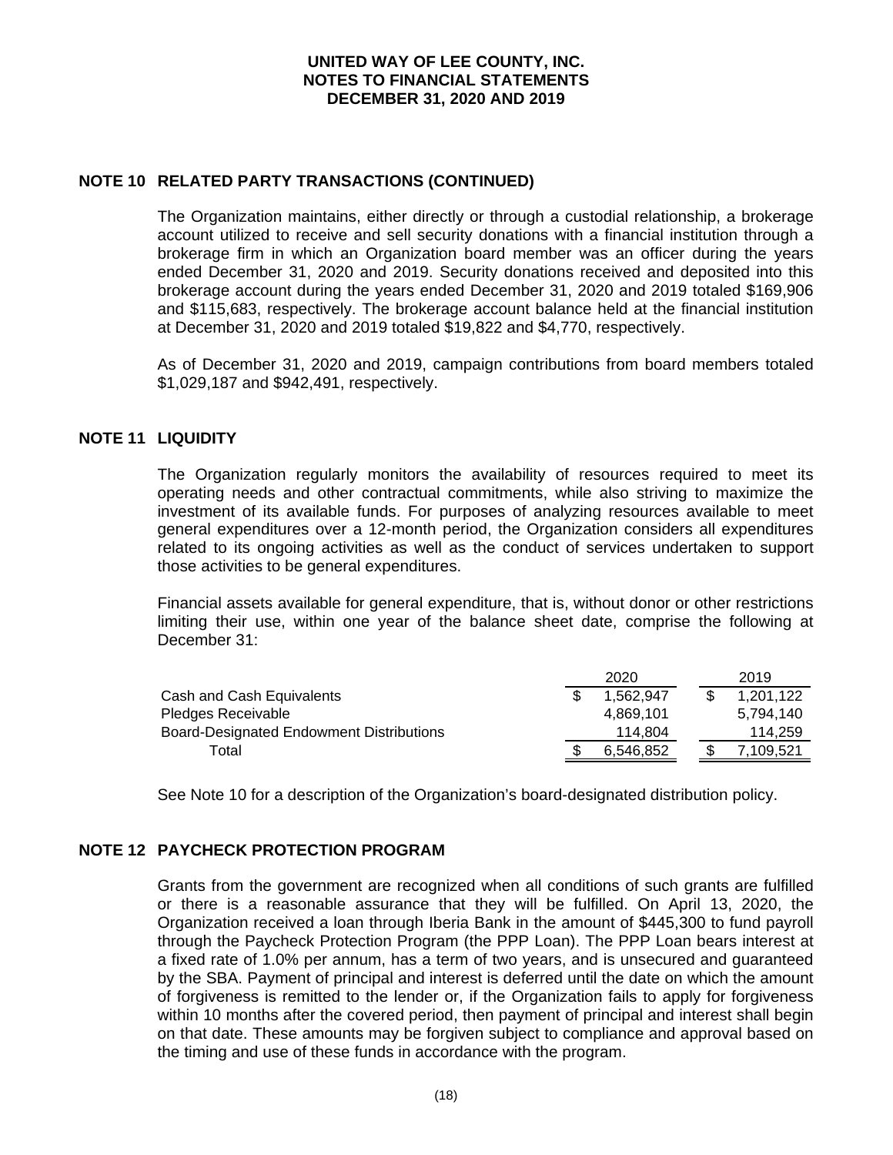### **NOTE 10 RELATED PARTY TRANSACTIONS (CONTINUED)**

The Organization maintains, either directly or through a custodial relationship, a brokerage account utilized to receive and sell security donations with a financial institution through a brokerage firm in which an Organization board member was an officer during the years ended December 31, 2020 and 2019. Security donations received and deposited into this brokerage account during the years ended December 31, 2020 and 2019 totaled \$169,906 and \$115,683, respectively. The brokerage account balance held at the financial institution at December 31, 2020 and 2019 totaled \$19,822 and \$4,770, respectively.

As of December 31, 2020 and 2019, campaign contributions from board members totaled \$1,029,187 and \$942,491, respectively.

### **NOTE 11 LIQUIDITY**

The Organization regularly monitors the availability of resources required to meet its operating needs and other contractual commitments, while also striving to maximize the investment of its available funds. For purposes of analyzing resources available to meet general expenditures over a 12-month period, the Organization considers all expenditures related to its ongoing activities as well as the conduct of services undertaken to support those activities to be general expenditures.

Financial assets available for general expenditure, that is, without donor or other restrictions limiting their use, within one year of the balance sheet date, comprise the following at December 31:

|                                          | 2020      |  | 2019      |
|------------------------------------------|-----------|--|-----------|
| Cash and Cash Equivalents                | 1.562.947 |  | 1.201.122 |
| Pledges Receivable                       | 4.869.101 |  | 5.794.140 |
| Board-Designated Endowment Distributions | 114.804   |  | 114.259   |
| Total                                    | 6.546.852 |  | 109.521.' |

See Note 10 for a description of the Organization's board-designated distribution policy.

### **NOTE 12 PAYCHECK PROTECTION PROGRAM**

Grants from the government are recognized when all conditions of such grants are fulfilled or there is a reasonable assurance that they will be fulfilled. On April 13, 2020, the Organization received a loan through Iberia Bank in the amount of \$445,300 to fund payroll through the Paycheck Protection Program (the PPP Loan). The PPP Loan bears interest at a fixed rate of 1.0% per annum, has a term of two years, and is unsecured and guaranteed by the SBA. Payment of principal and interest is deferred until the date on which the amount of forgiveness is remitted to the lender or, if the Organization fails to apply for forgiveness within 10 months after the covered period, then payment of principal and interest shall begin on that date. These amounts may be forgiven subject to compliance and approval based on the timing and use of these funds in accordance with the program.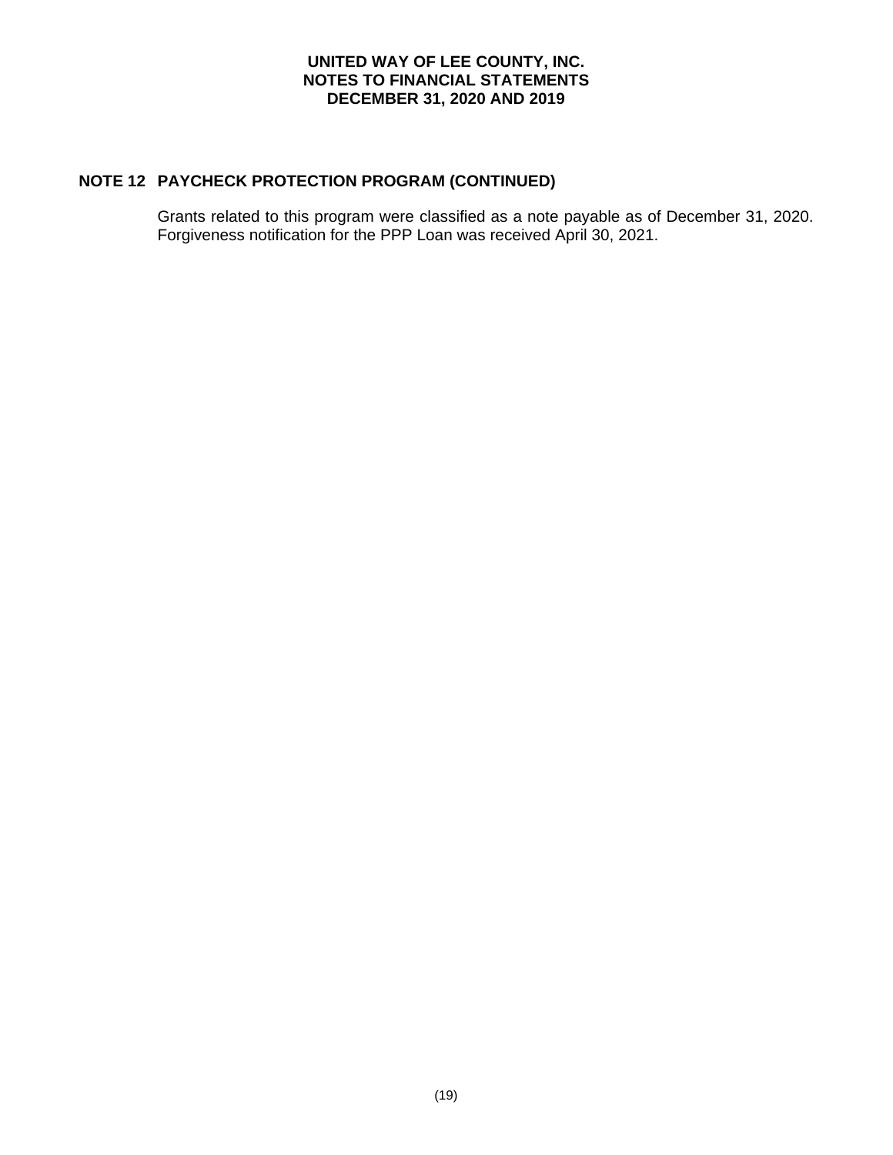# **NOTE 12 PAYCHECK PROTECTION PROGRAM (CONTINUED)**

Grants related to this program were classified as a note payable as of December 31, 2020. Forgiveness notification for the PPP Loan was received April 30, 2021.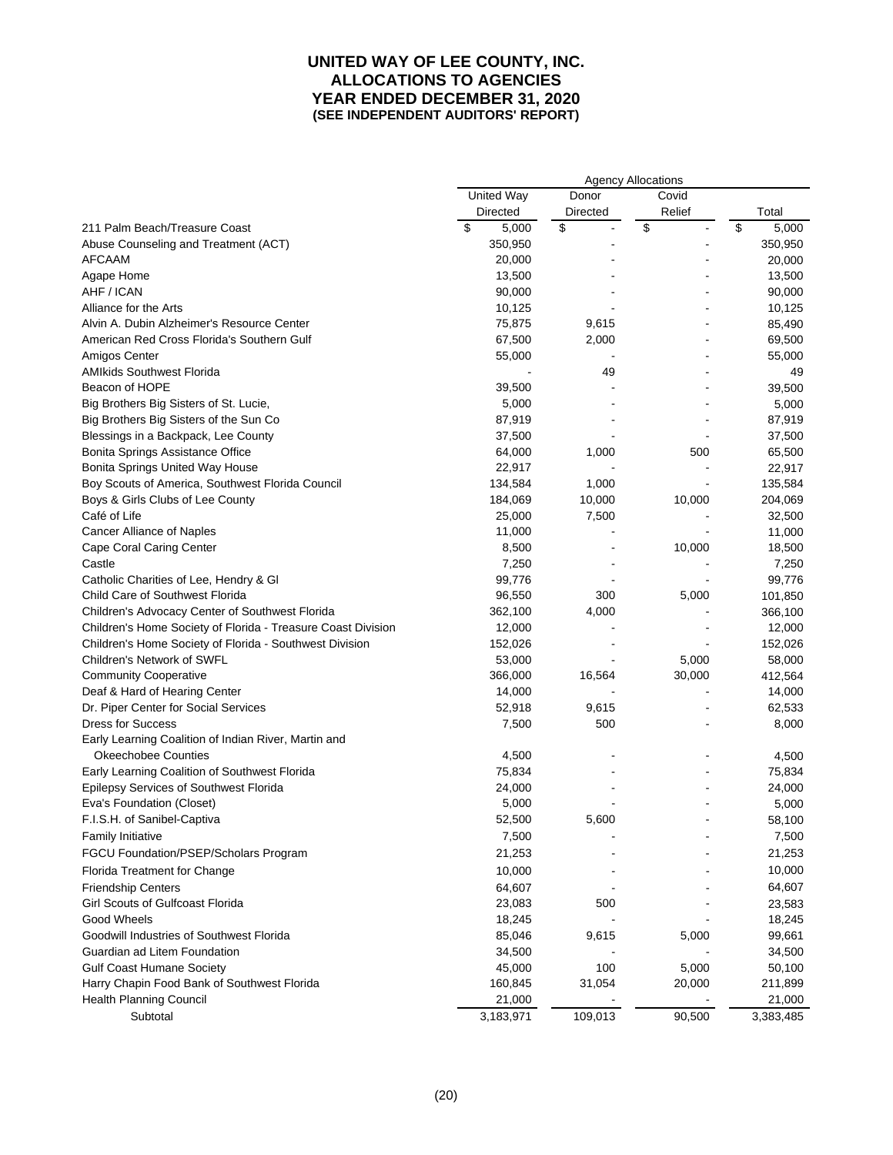### **UNITED WAY OF LEE COUNTY, INC. ALLOCATIONS TO AGENCIES YEAR ENDED DECEMBER 31, 2020 (SEE INDEPENDENT AUDITORS' REPORT)**

|                                                              | <b>Agency Allocations</b> |          |                      |             |
|--------------------------------------------------------------|---------------------------|----------|----------------------|-------------|
|                                                              | <b>United Way</b>         | Donor    | Covid                |             |
|                                                              | Directed                  | Directed | Relief               | Total       |
| 211 Palm Beach/Treasure Coast                                | \$<br>5,000               | \$       | \$<br>$\blacksquare$ | \$<br>5,000 |
| Abuse Counseling and Treatment (ACT)                         | 350,950                   |          |                      | 350,950     |
| <b>AFCAAM</b>                                                | 20,000                    |          |                      | 20,000      |
| Agape Home                                                   | 13,500                    |          |                      | 13,500      |
| AHF / ICAN                                                   | 90,000                    |          |                      | 90,000      |
| Alliance for the Arts                                        | 10,125                    |          |                      | 10,125      |
| Alvin A. Dubin Alzheimer's Resource Center                   | 75,875                    | 9,615    |                      | 85,490      |
| American Red Cross Florida's Southern Gulf                   | 67,500                    | 2,000    |                      | 69,500      |
| Amigos Center                                                | 55,000                    |          |                      | 55,000      |
| AMIkids Southwest Florida                                    |                           | 49       |                      | 49          |
| Beacon of HOPE                                               | 39,500                    |          |                      | 39,500      |
| Big Brothers Big Sisters of St. Lucie,                       | 5,000                     |          |                      | 5,000       |
| Big Brothers Big Sisters of the Sun Co                       | 87,919                    |          |                      | 87,919      |
| Blessings in a Backpack, Lee County                          | 37,500                    |          |                      | 37,500      |
| Bonita Springs Assistance Office                             | 64,000                    | 1,000    | 500                  | 65,500      |
| <b>Bonita Springs United Way House</b>                       | 22,917                    |          |                      | 22,917      |
| Boy Scouts of America, Southwest Florida Council             | 134,584                   | 1,000    |                      | 135,584     |
| Boys & Girls Clubs of Lee County                             | 184,069                   | 10,000   | 10,000               | 204,069     |
| Café of Life                                                 | 25,000                    | 7,500    |                      | 32,500      |
| Cancer Alliance of Naples                                    | 11,000                    |          |                      | 11,000      |
| Cape Coral Caring Center                                     | 8,500                     |          | 10,000               | 18,500      |
| Castle                                                       | 7,250                     |          |                      | 7,250       |
| Catholic Charities of Lee, Hendry & GI                       | 99,776                    |          |                      | 99,776      |
| Child Care of Southwest Florida                              | 96,550                    | 300      | 5,000                | 101,850     |
| Children's Advocacy Center of Southwest Florida              | 362,100                   | 4,000    |                      | 366,100     |
| Children's Home Society of Florida - Treasure Coast Division | 12,000                    |          |                      | 12,000      |
| Children's Home Society of Florida - Southwest Division      | 152,026                   |          |                      | 152,026     |
| Children's Network of SWFL                                   | 53,000                    |          | 5,000                | 58,000      |
| <b>Community Cooperative</b>                                 | 366,000                   | 16,564   | 30,000               | 412,564     |
| Deaf & Hard of Hearing Center                                | 14,000                    |          |                      | 14,000      |
| Dr. Piper Center for Social Services                         | 52,918                    | 9,615    |                      | 62,533      |
| <b>Dress for Success</b>                                     | 7,500                     | 500      |                      | 8,000       |
| Early Learning Coalition of Indian River, Martin and         |                           |          |                      |             |
| <b>Okeechobee Counties</b>                                   | 4,500                     |          |                      | 4,500       |
| Early Learning Coalition of Southwest Florida                | 75,834                    |          |                      | 75,834      |
| Epilepsy Services of Southwest Florida                       | 24,000                    |          |                      | 24,000      |
| Eva's Foundation (Closet)                                    | 5,000                     |          |                      | 5,000       |
| F.I.S.H. of Sanibel-Captiva                                  | 52,500                    | 5,600    |                      | 58,100      |
| <b>Family Initiative</b>                                     | 7,500                     |          |                      | 7,500       |
| FGCU Foundation/PSEP/Scholars Program                        | 21,253                    |          |                      | 21,253      |
| Florida Treatment for Change                                 | 10,000                    |          |                      | 10,000      |
| <b>Friendship Centers</b>                                    | 64,607                    |          |                      | 64,607      |
| Girl Scouts of Gulfcoast Florida                             | 23,083                    | 500      |                      | 23,583      |
| Good Wheels                                                  | 18,245                    |          |                      | 18,245      |
| Goodwill Industries of Southwest Florida                     | 85,046                    | 9,615    | 5,000                | 99,661      |
| Guardian ad Litem Foundation                                 | 34,500                    |          |                      | 34,500      |
| <b>Gulf Coast Humane Society</b>                             | 45,000                    | 100      | 5,000                | 50,100      |
| Harry Chapin Food Bank of Southwest Florida                  | 160,845                   | 31,054   | 20,000               | 211,899     |
| Health Planning Council                                      | 21,000                    |          |                      | 21,000      |
| Subtotal                                                     | 3,183,971                 | 109,013  | 90,500               | 3,383,485   |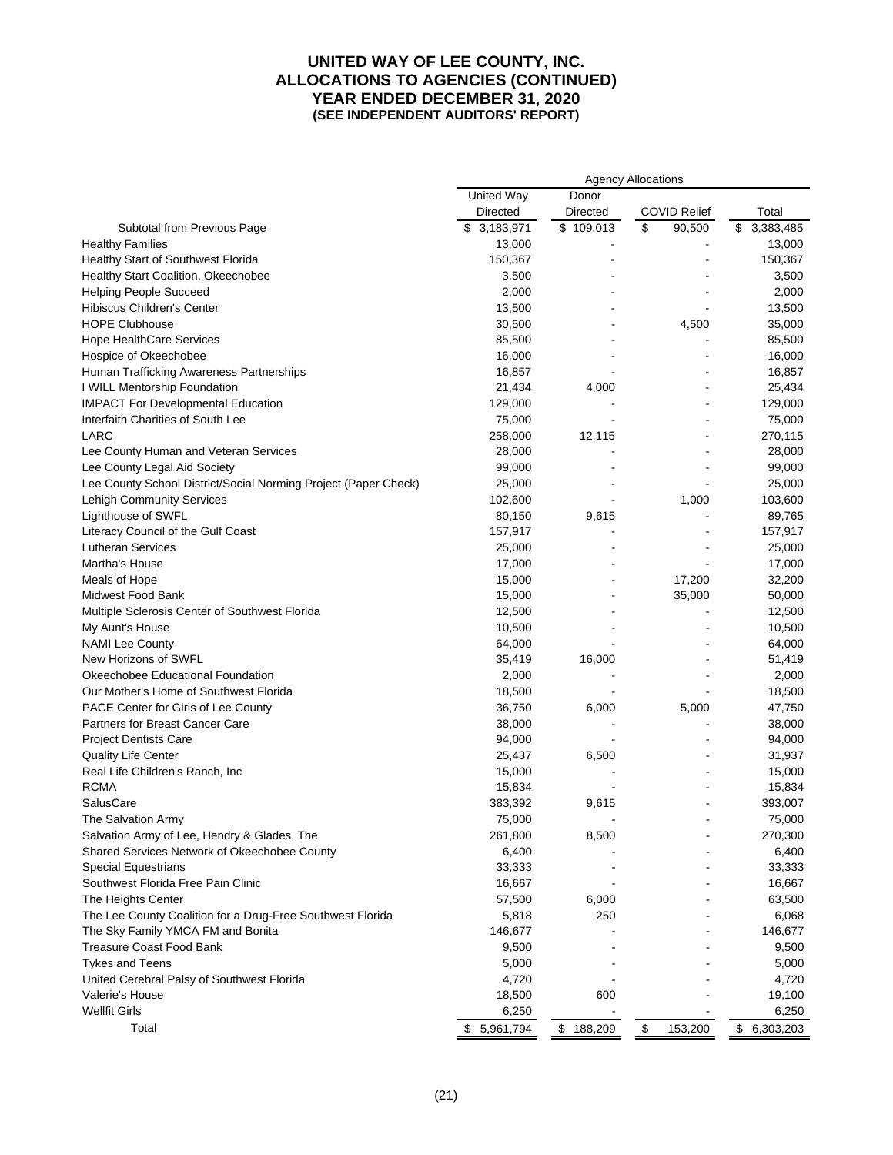### **UNITED WAY OF LEE COUNTY, INC. ALLOCATIONS TO AGENCIES (CONTINUED) YEAR ENDED DECEMBER 31, 2020 (SEE INDEPENDENT AUDITORS' REPORT)**

|                                                                 | <b>Agency Allocations</b> |           |                     |                 |
|-----------------------------------------------------------------|---------------------------|-----------|---------------------|-----------------|
|                                                                 | <b>United Way</b>         | Donor     |                     |                 |
|                                                                 | Directed                  | Directed  | <b>COVID Relief</b> | Total           |
| Subtotal from Previous Page                                     | \$3,183,971               | \$109,013 | \$<br>90,500        | 3,383,485<br>\$ |
| <b>Healthy Families</b>                                         | 13,000                    |           |                     | 13,000          |
| Healthy Start of Southwest Florida                              | 150,367                   |           |                     | 150,367         |
| Healthy Start Coalition, Okeechobee                             | 3,500                     |           |                     | 3,500           |
| <b>Helping People Succeed</b>                                   | 2,000                     |           |                     | 2,000           |
| <b>Hibiscus Children's Center</b>                               | 13,500                    |           |                     | 13,500          |
| <b>HOPE Clubhouse</b>                                           | 30,500                    |           | 4,500               | 35,000          |
| <b>Hope HealthCare Services</b>                                 | 85,500                    |           |                     | 85,500          |
| Hospice of Okeechobee                                           | 16,000                    |           |                     | 16,000          |
| Human Trafficking Awareness Partnerships                        | 16,857                    |           |                     | 16,857          |
| I WILL Mentorship Foundation                                    | 21,434                    | 4,000     |                     | 25,434          |
| <b>IMPACT For Developmental Education</b>                       | 129,000                   |           |                     | 129,000         |
| Interfaith Charities of South Lee                               | 75,000                    |           |                     | 75,000          |
| LARC                                                            | 258,000                   | 12,115    |                     | 270,115         |
| Lee County Human and Veteran Services                           | 28,000                    |           |                     | 28,000          |
| Lee County Legal Aid Society                                    | 99,000                    |           |                     | 99,000          |
|                                                                 |                           |           |                     | 25,000          |
| Lee County School District/Social Norming Project (Paper Check) | 25,000                    |           |                     |                 |
| <b>Lehigh Community Services</b>                                | 102,600                   |           | 1,000               | 103,600         |
| Lighthouse of SWFL                                              | 80,150                    | 9,615     |                     | 89,765          |
| Literacy Council of the Gulf Coast                              | 157,917                   |           |                     | 157,917         |
| <b>Lutheran Services</b>                                        | 25,000                    |           |                     | 25,000          |
| Martha's House                                                  | 17,000                    |           |                     | 17,000          |
| Meals of Hope                                                   | 15,000                    |           | 17,200              | 32,200          |
| Midwest Food Bank                                               | 15,000                    |           | 35,000              | 50,000          |
| Multiple Sclerosis Center of Southwest Florida                  | 12,500                    |           |                     | 12,500          |
| My Aunt's House                                                 | 10,500                    |           |                     | 10,500          |
| <b>NAMI Lee County</b>                                          | 64,000                    |           |                     | 64,000          |
| New Horizons of SWFL                                            | 35,419                    | 16,000    |                     | 51,419          |
| Okeechobee Educational Foundation                               | 2,000                     |           |                     | 2,000           |
| Our Mother's Home of Southwest Florida                          | 18,500                    |           |                     | 18,500          |
| PACE Center for Girls of Lee County                             | 36,750                    | 6,000     | 5,000               | 47,750          |
| Partners for Breast Cancer Care                                 | 38,000                    |           |                     | 38,000          |
| <b>Project Dentists Care</b>                                    | 94,000                    |           |                     | 94,000          |
| <b>Quality Life Center</b>                                      | 25,437                    | 6,500     |                     | 31,937          |
| Real Life Children's Ranch, Inc.                                | 15,000                    |           |                     | 15,000          |
| <b>RCMA</b>                                                     | 15,834                    |           |                     | 15,834          |
| SalusCare                                                       | 383,392                   | 9,615     |                     | 393,007         |
| The Salvation Army                                              | 75,000                    |           |                     | 75,000          |
| Salvation Army of Lee, Hendry & Glades, The                     | 261,800                   | 8,500     |                     | 270,300         |
| Shared Services Network of Okeechobee County                    | 6,400                     |           |                     | 6,400           |
| <b>Special Equestrians</b>                                      | 33,333                    |           |                     | 33,333          |
| Southwest Florida Free Pain Clinic                              | 16,667                    |           |                     | 16,667          |
| The Heights Center                                              | 57,500                    | 6,000     |                     | 63,500          |
| The Lee County Coalition for a Drug-Free Southwest Florida      | 5,818                     | 250       |                     | 6,068           |
| The Sky Family YMCA FM and Bonita                               | 146,677                   |           |                     | 146,677         |
| Treasure Coast Food Bank                                        | 9,500                     |           |                     | 9,500           |
| <b>Tykes and Teens</b>                                          | 5,000                     |           |                     | 5,000           |
| United Cerebral Palsy of Southwest Florida                      | 4,720                     |           |                     | 4,720           |
| Valerie's House                                                 | 18,500                    | 600       |                     | 19,100          |
| <b>Wellfit Girls</b>                                            | 6,250                     |           |                     | 6,250           |
|                                                                 |                           |           |                     |                 |
| Total                                                           | \$5,961,794               | \$188,209 | \$<br>153,200       | \$<br>6,303,203 |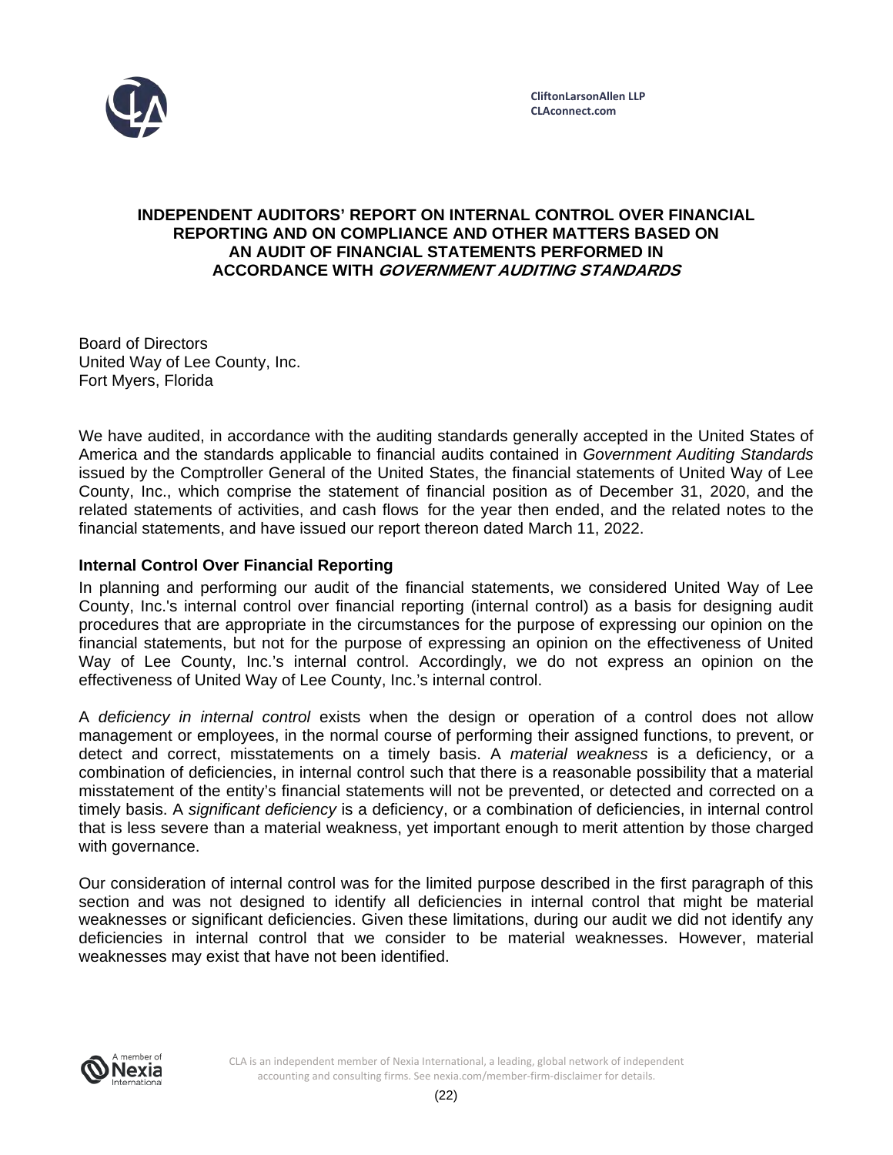

### **INDEPENDENT AUDITORS' REPORT ON INTERNAL CONTROL OVER FINANCIAL REPORTING AND ON COMPLIANCE AND OTHER MATTERS BASED ON AN AUDIT OF FINANCIAL STATEMENTS PERFORMED IN ACCORDANCE WITH GOVERNMENT AUDITING STANDARDS**

Board of Directors United Way of Lee County, Inc. Fort Myers, Florida

We have audited, in accordance with the auditing standards generally accepted in the United States of America and the standards applicable to financial audits contained in *Government Auditing Standards*  issued by the Comptroller General of the United States, the financial statements of United Way of Lee County, Inc., which comprise the statement of financial position as of December 31, 2020, and the related statements of activities, and cash flows for the year then ended, and the related notes to the financial statements, and have issued our report thereon dated March 11, 2022.

## **Internal Control Over Financial Reporting**

In planning and performing our audit of the financial statements, we considered United Way of Lee County, Inc.'s internal control over financial reporting (internal control) as a basis for designing audit procedures that are appropriate in the circumstances for the purpose of expressing our opinion on the financial statements, but not for the purpose of expressing an opinion on the effectiveness of United Way of Lee County, Inc.'s internal control. Accordingly, we do not express an opinion on the effectiveness of United Way of Lee County, Inc.'s internal control.

A *deficiency in internal control* exists when the design or operation of a control does not allow management or employees, in the normal course of performing their assigned functions, to prevent, or detect and correct, misstatements on a timely basis. A *material weakness* is a deficiency, or a combination of deficiencies, in internal control such that there is a reasonable possibility that a material misstatement of the entity's financial statements will not be prevented, or detected and corrected on a timely basis. A *significant deficiency* is a deficiency, or a combination of deficiencies, in internal control that is less severe than a material weakness, yet important enough to merit attention by those charged with governance.

Our consideration of internal control was for the limited purpose described in the first paragraph of this section and was not designed to identify all deficiencies in internal control that might be material weaknesses or significant deficiencies. Given these limitations, during our audit we did not identify any deficiencies in internal control that we consider to be material weaknesses. However, material weaknesses may exist that have not been identified.

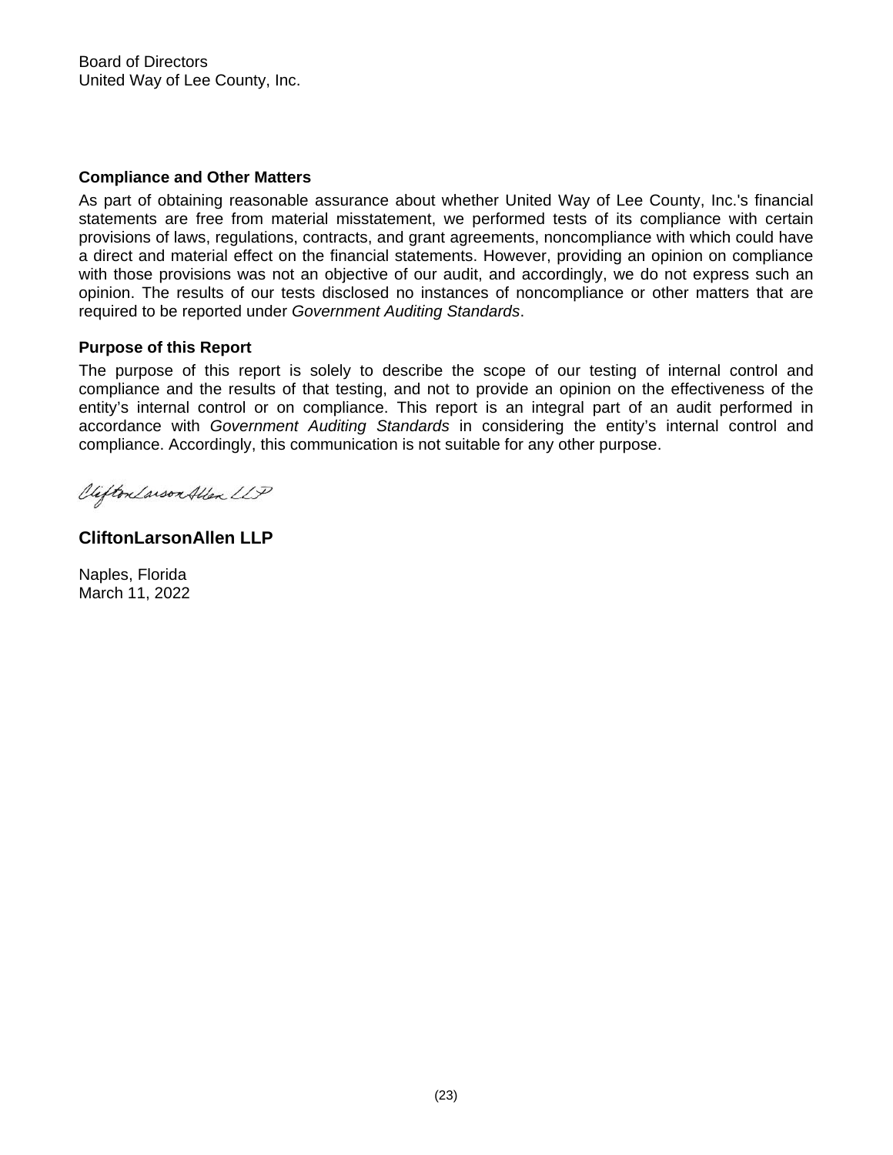### **Compliance and Other Matters**

As part of obtaining reasonable assurance about whether United Way of Lee County, Inc.'s financial statements are free from material misstatement, we performed tests of its compliance with certain provisions of laws, regulations, contracts, and grant agreements, noncompliance with which could have a direct and material effect on the financial statements. However, providing an opinion on compliance with those provisions was not an objective of our audit, and accordingly, we do not express such an opinion. The results of our tests disclosed no instances of noncompliance or other matters that are required to be reported under *Government Auditing Standards*.

### **Purpose of this Report**

The purpose of this report is solely to describe the scope of our testing of internal control and compliance and the results of that testing, and not to provide an opinion on the effectiveness of the entity's internal control or on compliance. This report is an integral part of an audit performed in accordance with *Government Auditing Standards* in considering the entity's internal control and compliance. Accordingly, this communication is not suitable for any other purpose.

Clifton Larson Allen LLP

# **CliftonLarsonAllen LLP**

Naples, Florida March 11, 2022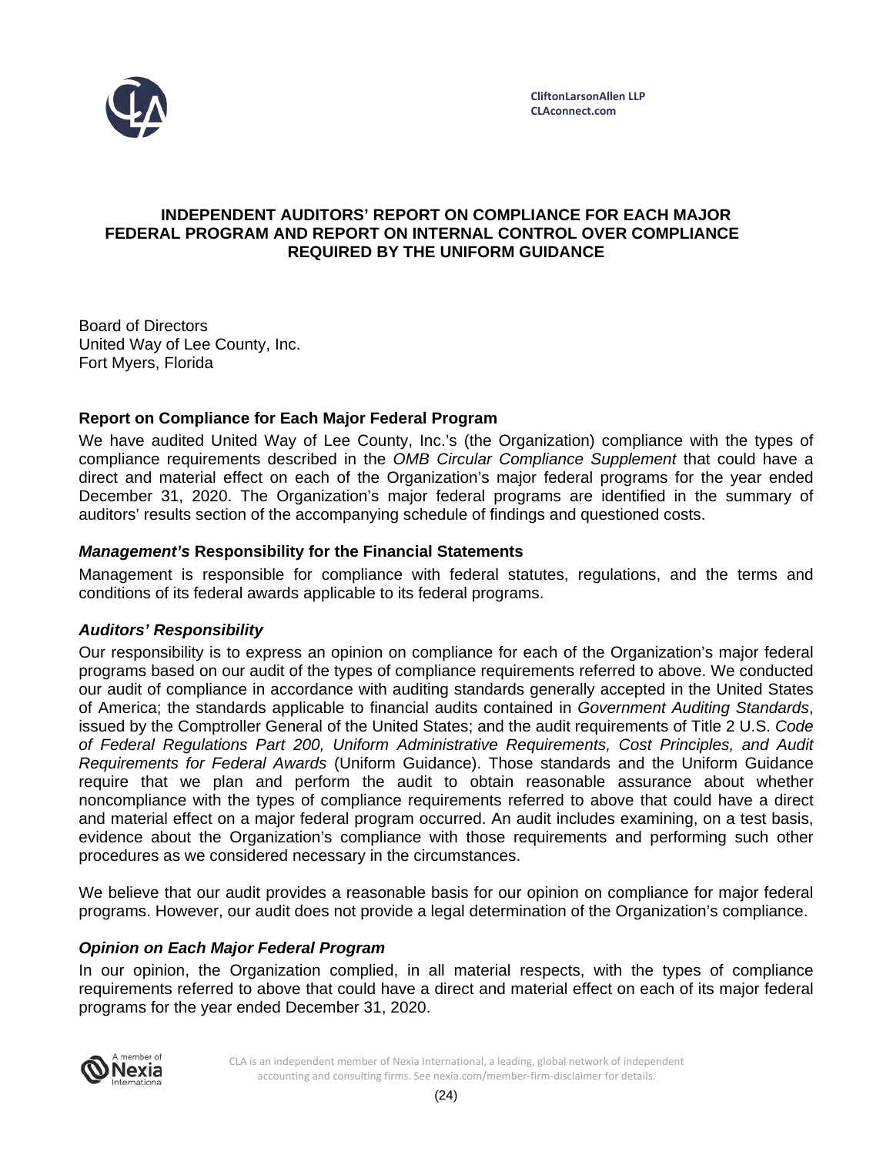

## **INDEPENDENT AUDITORS' REPORT ON COMPLIANCE FOR EACH MAJOR FEDERAL PROGRAM AND REPORT ON INTERNAL CONTROL OVER COMPLIANCE REQUIRED BY THE UNIFORM GUIDANCE**

Board of Directors United Way of Lee County, Inc. Fort Myers, Florida

# **Report on Compliance for Each Major Federal Program**

We have audited United Way of Lee County, Inc.'s (the Organization) compliance with the types of compliance requirements described in the *OMB Circular Compliance Supplement* that could have a direct and material effect on each of the Organization's major federal programs for the year ended December 31, 2020. The Organization's major federal programs are identified in the summary of auditors' results section of the accompanying schedule of findings and questioned costs.

# *Management's* **Responsibility for the Financial Statements**

Management is responsible for compliance with federal statutes, regulations, and the terms and conditions of its federal awards applicable to its federal programs.

## *Auditors' Responsibility*

Our responsibility is to express an opinion on compliance for each of the Organization's major federal programs based on our audit of the types of compliance requirements referred to above. We conducted our audit of compliance in accordance with auditing standards generally accepted in the United States of America; the standards applicable to financial audits contained in *Government Auditing Standards*, issued by the Comptroller General of the United States; and the audit requirements of Title 2 U.S. *Code of Federal Regulations Part 200, Uniform Administrative Requirements, Cost Principles, and Audit Requirements for Federal Awards* (Uniform Guidance). Those standards and the Uniform Guidance require that we plan and perform the audit to obtain reasonable assurance about whether noncompliance with the types of compliance requirements referred to above that could have a direct and material effect on a major federal program occurred. An audit includes examining, on a test basis, evidence about the Organization's compliance with those requirements and performing such other procedures as we considered necessary in the circumstances.

We believe that our audit provides a reasonable basis for our opinion on compliance for major federal programs. However, our audit does not provide a legal determination of the Organization's compliance.

## *Opinion on Each Major Federal Program*

In our opinion, the Organization complied, in all material respects, with the types of compliance requirements referred to above that could have a direct and material effect on each of its major federal programs for the year ended December 31, 2020.

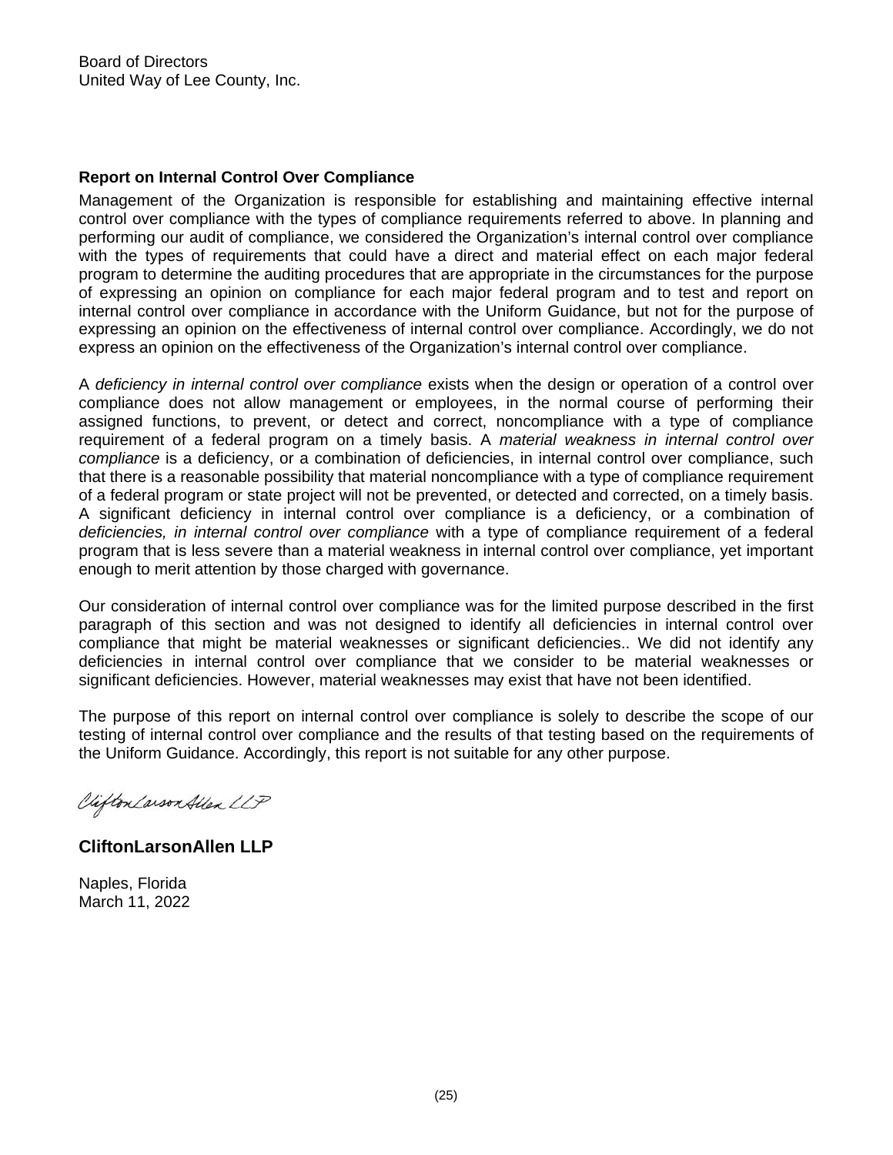## **Report on Internal Control Over Compliance**

Management of the Organization is responsible for establishing and maintaining effective internal control over compliance with the types of compliance requirements referred to above. In planning and performing our audit of compliance, we considered the Organization's internal control over compliance with the types of requirements that could have a direct and material effect on each major federal program to determine the auditing procedures that are appropriate in the circumstances for the purpose of expressing an opinion on compliance for each major federal program and to test and report on internal control over compliance in accordance with the Uniform Guidance, but not for the purpose of expressing an opinion on the effectiveness of internal control over compliance. Accordingly, we do not express an opinion on the effectiveness of the Organization's internal control over compliance.

A *deficiency in internal control over compliance* exists when the design or operation of a control over compliance does not allow management or employees, in the normal course of performing their assigned functions, to prevent, or detect and correct, noncompliance with a type of compliance requirement of a federal program on a timely basis. A *material weakness in internal control over compliance* is a deficiency, or a combination of deficiencies, in internal control over compliance, such that there is a reasonable possibility that material noncompliance with a type of compliance requirement of a federal program or state project will not be prevented, or detected and corrected, on a timely basis. A significant deficiency in internal control over compliance is a deficiency, or a combination of *deficiencies, in internal control over compliance* with a type of compliance requirement of a federal program that is less severe than a material weakness in internal control over compliance, yet important enough to merit attention by those charged with governance.

Our consideration of internal control over compliance was for the limited purpose described in the first paragraph of this section and was not designed to identify all deficiencies in internal control over compliance that might be material weaknesses or significant deficiencies.. We did not identify any deficiencies in internal control over compliance that we consider to be material weaknesses or significant deficiencies. However, material weaknesses may exist that have not been identified.

The purpose of this report on internal control over compliance is solely to describe the scope of our testing of internal control over compliance and the results of that testing based on the requirements of the Uniform Guidance. Accordingly, this report is not suitable for any other purpose.

Clifton Larson Allen LLP

# **CliftonLarsonAllen LLP**

Naples, Florida March 11, 2022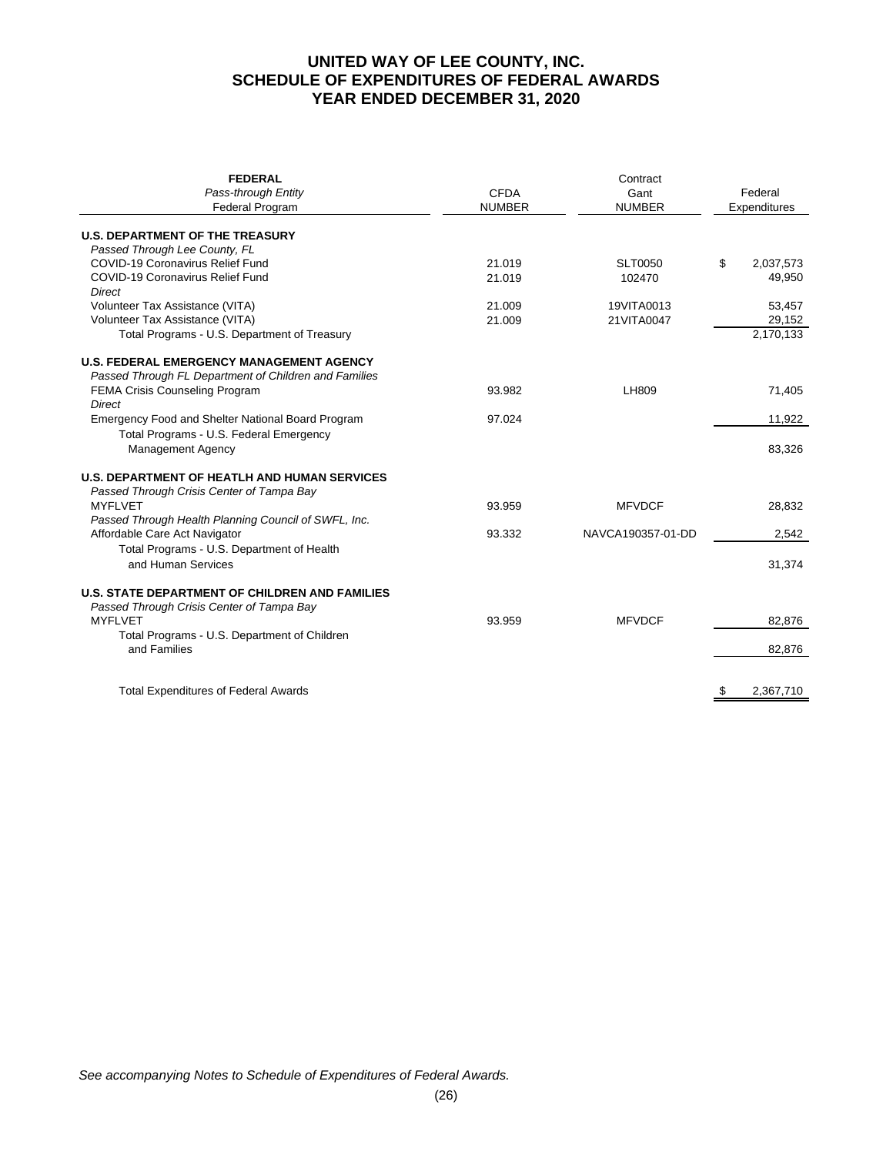## **UNITED WAY OF LEE COUNTY, INC. SCHEDULE OF EXPENDITURES OF FEDERAL AWARDS YEAR ENDED DECEMBER 31, 2020**

| <b>FEDERAL</b><br>Pass-through Entity<br>Federal Program | <b>CFDA</b><br><b>NUMBER</b> | Contract<br>Gant<br><b>NUMBER</b> | Federal<br>Expenditures |
|----------------------------------------------------------|------------------------------|-----------------------------------|-------------------------|
| <b>U.S. DEPARTMENT OF THE TREASURY</b>                   |                              |                                   |                         |
| Passed Through Lee County, FL                            |                              |                                   |                         |
| <b>COVID-19 Coronavirus Relief Fund</b>                  | 21.019                       | <b>SLT0050</b>                    | \$<br>2,037,573         |
| <b>COVID-19 Coronavirus Relief Fund</b>                  | 21.019                       | 102470                            | 49,950                  |
| Direct                                                   |                              |                                   |                         |
| Volunteer Tax Assistance (VITA)                          | 21.009                       | 19VITA0013                        | 53,457                  |
| Volunteer Tax Assistance (VITA)                          | 21.009                       | 21VITA0047                        | 29,152                  |
| Total Programs - U.S. Department of Treasury             |                              |                                   | 2,170,133               |
| <b>U.S. FEDERAL EMERGENCY MANAGEMENT AGENCY</b>          |                              |                                   |                         |
| Passed Through FL Department of Children and Families    |                              |                                   |                         |
| <b>FEMA Crisis Counseling Program</b>                    | 93.982                       | LH809                             | 71,405                  |
| Direct                                                   |                              |                                   |                         |
| Emergency Food and Shelter National Board Program        | 97.024                       |                                   | 11,922                  |
| Total Programs - U.S. Federal Emergency                  |                              |                                   |                         |
| <b>Management Agency</b>                                 |                              |                                   | 83,326                  |
| <b>U.S. DEPARTMENT OF HEATLH AND HUMAN SERVICES</b>      |                              |                                   |                         |
| Passed Through Crisis Center of Tampa Bay                |                              |                                   |                         |
| <b>MYFLVET</b>                                           | 93.959                       | <b>MFVDCF</b>                     | 28,832                  |
| Passed Through Health Planning Council of SWFL, Inc.     |                              |                                   |                         |
| Affordable Care Act Navigator                            | 93.332                       | NAVCA190357-01-DD                 | 2,542                   |
| Total Programs - U.S. Department of Health               |                              |                                   |                         |
| and Human Services                                       |                              |                                   | 31,374                  |
| <b>U.S. STATE DEPARTMENT OF CHILDREN AND FAMILIES</b>    |                              |                                   |                         |
| Passed Through Crisis Center of Tampa Bay                |                              |                                   |                         |
| <b>MYFLVET</b>                                           | 93.959                       | <b>MFVDCF</b>                     | 82,876                  |
| Total Programs - U.S. Department of Children             |                              |                                   |                         |
| and Families                                             |                              |                                   | 82,876                  |
|                                                          |                              |                                   |                         |
| <b>Total Expenditures of Federal Awards</b>              |                              |                                   | \$<br>2,367,710         |
|                                                          |                              |                                   |                         |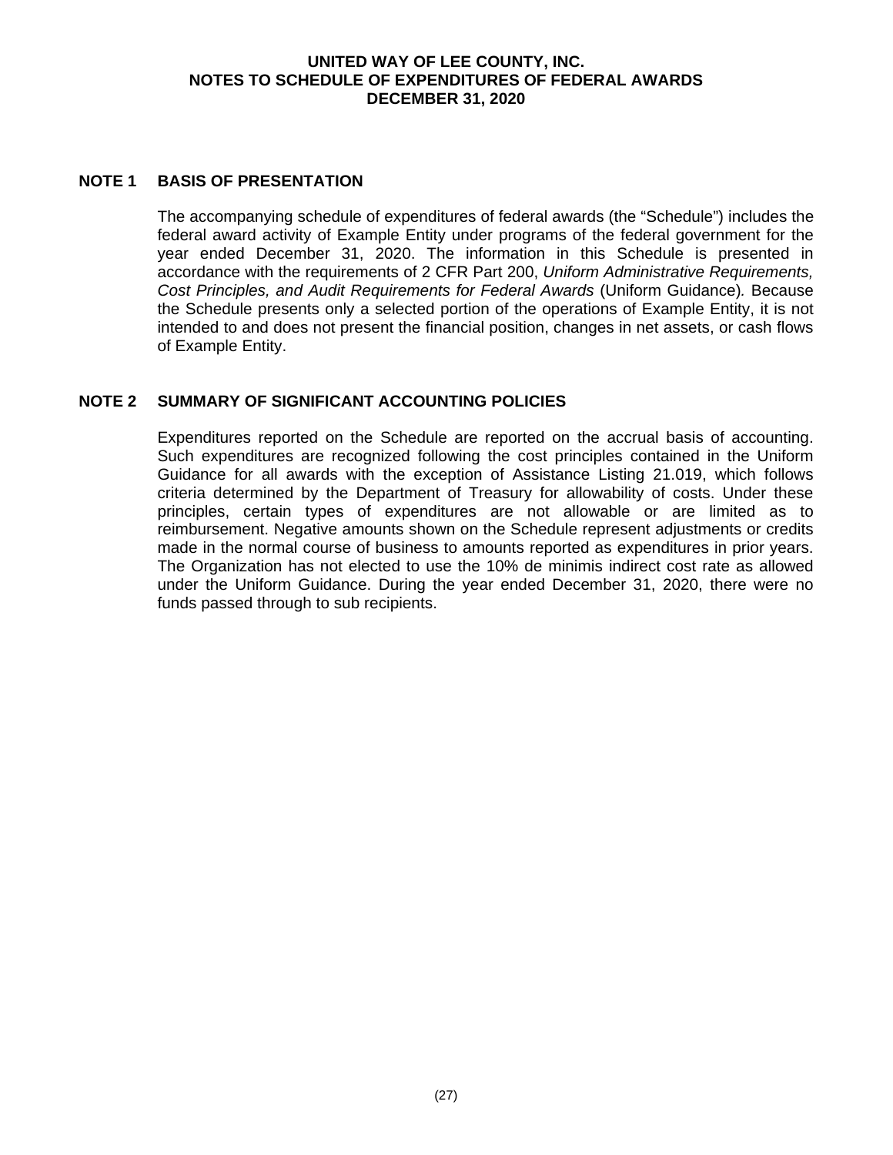### **UNITED WAY OF LEE COUNTY, INC. NOTES TO SCHEDULE OF EXPENDITURES OF FEDERAL AWARDS DECEMBER 31, 2020**

### **NOTE 1 BASIS OF PRESENTATION**

The accompanying schedule of expenditures of federal awards (the "Schedule") includes the federal award activity of Example Entity under programs of the federal government for the year ended December 31, 2020. The information in this Schedule is presented in accordance with the requirements of 2 CFR Part 200, *Uniform Administrative Requirements, Cost Principles, and Audit Requirements for Federal Awards* (Uniform Guidance)*.* Because the Schedule presents only a selected portion of the operations of Example Entity, it is not intended to and does not present the financial position, changes in net assets, or cash flows of Example Entity.

## **NOTE 2 SUMMARY OF SIGNIFICANT ACCOUNTING POLICIES**

Expenditures reported on the Schedule are reported on the accrual basis of accounting. Such expenditures are recognized following the cost principles contained in the Uniform Guidance for all awards with the exception of Assistance Listing 21.019, which follows criteria determined by the Department of Treasury for allowability of costs. Under these principles, certain types of expenditures are not allowable or are limited as to reimbursement. Negative amounts shown on the Schedule represent adjustments or credits made in the normal course of business to amounts reported as expenditures in prior years. The Organization has not elected to use the 10% de minimis indirect cost rate as allowed under the Uniform Guidance. During the year ended December 31, 2020, there were no funds passed through to sub recipients.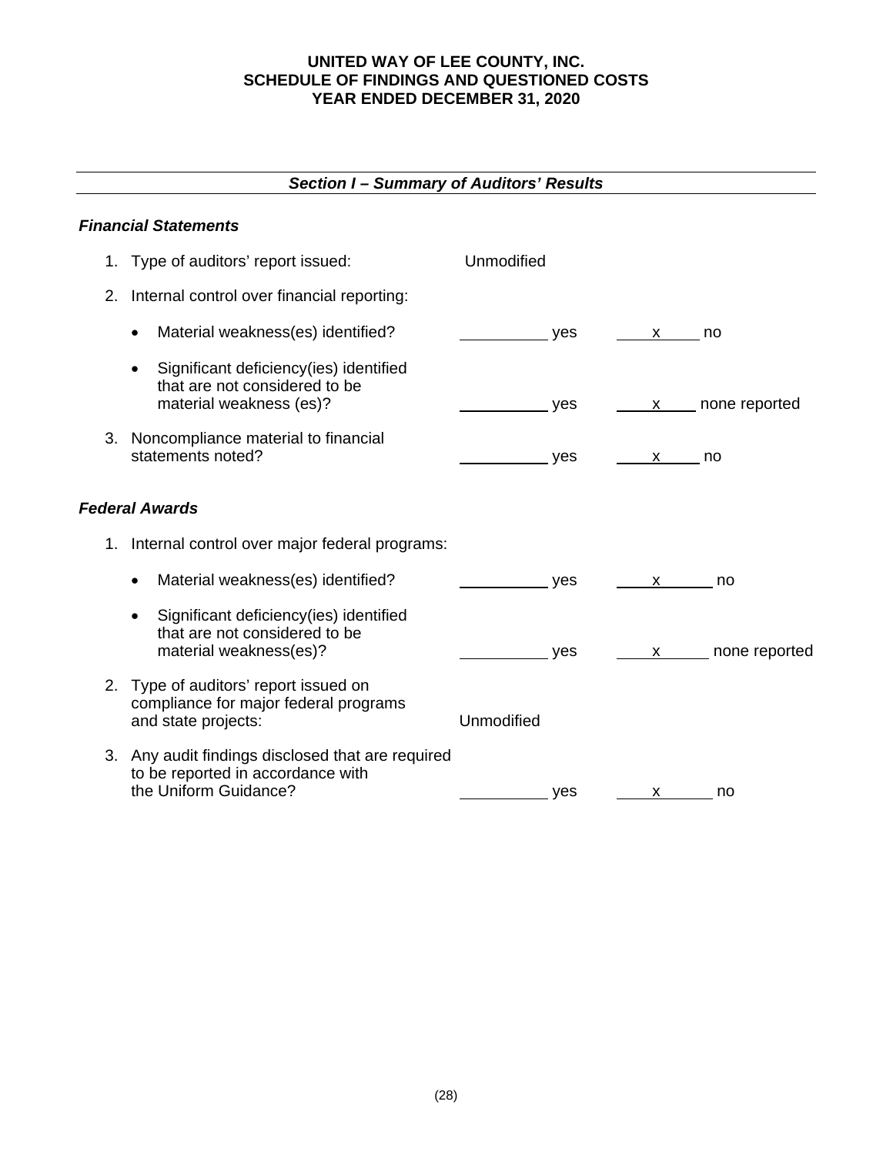## **UNITED WAY OF LEE COUNTY, INC. SCHEDULE OF FINDINGS AND QUESTIONED COSTS YEAR ENDED DECEMBER 31, 2020**

# *Section I – Summary of Auditors' Results*

## *Financial Statements*

|    | 1. Type of auditors' report issued:                                                                             | Unmodified                                                                                                      |            |                                                                                                                                                                                                                                                                                                                                                                                                                                   |                      |
|----|-----------------------------------------------------------------------------------------------------------------|-----------------------------------------------------------------------------------------------------------------|------------|-----------------------------------------------------------------------------------------------------------------------------------------------------------------------------------------------------------------------------------------------------------------------------------------------------------------------------------------------------------------------------------------------------------------------------------|----------------------|
| 2. | Internal control over financial reporting:                                                                      |                                                                                                                 |            |                                                                                                                                                                                                                                                                                                                                                                                                                                   |                      |
|    | Material weakness(es) identified?<br>$\bullet$                                                                  | and the vest of the vest of the state of the state of the state of the state of the state of the state of the s |            | <u>_____ x_</u> ____ no                                                                                                                                                                                                                                                                                                                                                                                                           |                      |
|    | Significant deficiency(ies) identified<br>$\bullet$<br>that are not considered to be<br>material weakness (es)? |                                                                                                                 | _yes       |                                                                                                                                                                                                                                                                                                                                                                                                                                   | x ____ none reported |
|    | 3. Noncompliance material to financial<br>statements noted?                                                     |                                                                                                                 | _yes       | $\mathsf{X}$ and $\mathsf{X}$ and $\mathsf{X}$ are $\mathsf{X}$ and $\mathsf{X}$ are $\mathsf{X}$ and $\mathsf{X}$ are $\mathsf{X}$ and $\mathsf{X}$ are $\mathsf{X}$ and $\mathsf{X}$ are $\mathsf{X}$ and $\mathsf{X}$ are $\mathsf{X}$ and $\mathsf{X}$ are $\mathsf{X}$ and $\mathsf{X}$ are                                                                                                                                  | no                   |
|    | <b>Federal Awards</b>                                                                                           |                                                                                                                 |            |                                                                                                                                                                                                                                                                                                                                                                                                                                   |                      |
|    | 1. Internal control over major federal programs:                                                                |                                                                                                                 |            |                                                                                                                                                                                                                                                                                                                                                                                                                                   |                      |
|    | Material weakness(es) identified?<br>$\bullet$                                                                  |                                                                                                                 | <b>ves</b> | $\boldsymbol{\mathsf{X}}$ and $\boldsymbol{\mathsf{X}}$ and $\boldsymbol{\mathsf{X}}$ and $\boldsymbol{\mathsf{X}}$ and $\boldsymbol{\mathsf{X}}$ and $\boldsymbol{\mathsf{X}}$ and $\boldsymbol{\mathsf{X}}$ and $\boldsymbol{\mathsf{X}}$ and $\boldsymbol{\mathsf{X}}$ and $\boldsymbol{\mathsf{X}}$ and $\boldsymbol{\mathsf{X}}$ and $\boldsymbol{\mathsf{X}}$ and $\boldsymbol{\mathsf{X}}$ and $\boldsymbol{\mathsf{X}}$ a | no                   |
|    | Significant deficiency (ies) identified<br>٠<br>that are not considered to be<br>material weakness(es)?         |                                                                                                                 | yes        | $\boldsymbol{\mathsf{X}}$ and $\boldsymbol{\mathsf{X}}$ and $\boldsymbol{\mathsf{X}}$ and $\boldsymbol{\mathsf{X}}$ are set of $\boldsymbol{\mathsf{X}}$ and $\boldsymbol{\mathsf{X}}$ and $\boldsymbol{\mathsf{X}}$ are set of $\boldsymbol{\mathsf{X}}$ and $\boldsymbol{\mathsf{X}}$ are set of $\boldsymbol{\mathsf{X}}$ and $\boldsymbol{\mathsf{X}}$ are set of $\boldsymbol{\mathsf{X}}$ and                               | none reported        |
|    | 2. Type of auditors' report issued on<br>compliance for major federal programs<br>and state projects:           | Unmodified                                                                                                      |            |                                                                                                                                                                                                                                                                                                                                                                                                                                   |                      |
|    | 3. Any audit findings disclosed that are required<br>to be reported in accordance with<br>the Uniform Guidance? |                                                                                                                 | yes        | $\mathsf{X}$                                                                                                                                                                                                                                                                                                                                                                                                                      | no                   |